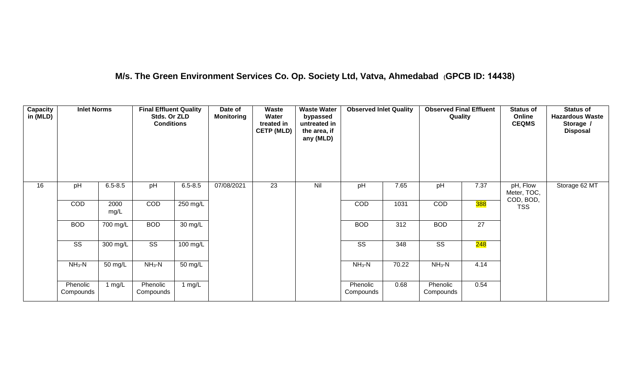## **M/s. The Green Environment Services Co. Op. Society Ltd, Vatva, Ahmedabad (GPCB ID: 14438)**

| <b>Capacity</b><br>in (MLD) | <b>Inlet Norms</b>     |              | <b>Final Effluent Quality</b><br>Stds. Or ZLD<br><b>Conditions</b> |                      | Date of<br><b>Monitoring</b> | <b>Waste</b><br>Water<br>treated in<br><b>CETP (MLD)</b> | <b>Waste Water</b><br>bypassed<br>untreated in<br>the area, if<br>any (MLD) | <b>Observed Inlet Quality</b> |       | <b>Observed Final Effluent</b><br>Quality |                  | <b>Status of</b><br>Online<br><b>CEQMS</b> | <b>Status of</b><br><b>Hazardous Waste</b><br>Storage /<br><b>Disposal</b> |
|-----------------------------|------------------------|--------------|--------------------------------------------------------------------|----------------------|------------------------------|----------------------------------------------------------|-----------------------------------------------------------------------------|-------------------------------|-------|-------------------------------------------|------------------|--------------------------------------------|----------------------------------------------------------------------------|
| 16                          | pH                     | $6.5 - 8.5$  | pH                                                                 | $6.5 - 8.5$          | 07/08/2021                   | 23                                                       | Nil                                                                         | pH                            | 7.65  | pH                                        | 7.37             | pH, Flow<br>Meter, TOC,<br>COD, BOD,       | Storage 62 MT                                                              |
|                             | COD                    | 2000<br>mg/L | COD                                                                | 250 mg/L             |                              |                                                          |                                                                             | COD                           | 1031  | COD                                       | <mark>388</mark> | <b>TSS</b>                                 |                                                                            |
|                             | <b>BOD</b>             | 700 mg/L     | <b>BOD</b>                                                         | $\overline{30}$ mg/L |                              |                                                          |                                                                             | <b>BOD</b>                    | 312   | <b>BOD</b>                                | 27               |                                            |                                                                            |
|                             | $\overline{\text{SS}}$ | 300 mg/L     | $\overline{\text{SS}}$                                             | 100 mg/L             |                              |                                                          |                                                                             | SS                            | 348   | $\overline{\text{SS}}$                    | 248              |                                            |                                                                            |
|                             | $NH3-N$                | 50 mg/L      | $NH3-N$                                                            | $\overline{50}$ mg/L |                              |                                                          |                                                                             | $NH3-N$                       | 70.22 | $NH3-N$                                   | 4.14             |                                            |                                                                            |
|                             | Phenolic<br>Compounds  | 1 mg/L       | Phenolic<br>Compounds                                              | 1 mg/L               |                              |                                                          |                                                                             | Phenolic<br>Compounds         | 0.68  | Phenolic<br>Compounds                     | 0.54             |                                            |                                                                            |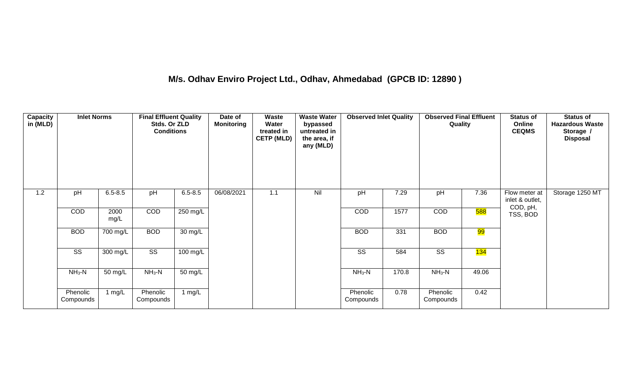## **M/s. Odhav Enviro Project Ltd., Odhav, Ahmedabad (GPCB ID: 12890 )**

| Capacity<br>in (MLD) | <b>Inlet Norms</b>     |              | <b>Final Effluent Quality</b><br>Stds. Or ZLD<br><b>Conditions</b> |             | Date of<br><b>Monitoring</b> | Waste<br>Water<br>treated in<br><b>CETP (MLD)</b> | <b>Waste Water</b><br>bypassed<br>untreated in<br>the area, if<br>any (MLD) | <b>Observed Inlet Quality</b> |       | <b>Observed Final Effluent</b><br>Quality |                  | <b>Status of</b><br>Online<br><b>CEQMS</b> | <b>Status of</b><br><b>Hazardous Waste</b><br>Storage /<br><b>Disposal</b> |
|----------------------|------------------------|--------------|--------------------------------------------------------------------|-------------|------------------------------|---------------------------------------------------|-----------------------------------------------------------------------------|-------------------------------|-------|-------------------------------------------|------------------|--------------------------------------------|----------------------------------------------------------------------------|
| 1.2                  | pH                     | $6.5 - 8.5$  | pH                                                                 | $6.5 - 8.5$ | 06/08/2021                   | 1.1                                               | Nil                                                                         | pH                            | 7.29  | pH                                        | 7.36             | Flow meter at<br>inlet & outlet,           | Storage 1250 MT                                                            |
|                      | COD                    | 2000<br>mg/L | COD                                                                | 250 mg/L    |                              |                                                   |                                                                             | COD                           | 1577  | COD                                       | <mark>588</mark> | COD, pH,<br>TSS, BOD                       |                                                                            |
|                      | <b>BOD</b>             | 700 mg/L     | <b>BOD</b>                                                         | 30 mg/L     |                              |                                                   |                                                                             | <b>BOD</b>                    | 331   | <b>BOD</b>                                | <mark>99</mark>  |                                            |                                                                            |
|                      | $\overline{\text{ss}}$ | 300 mg/L     | $\overline{\text{ss}}$                                             | 100 mg/L    |                              |                                                   |                                                                             | $\overline{\text{SS}}$        | 584   | $\overline{\text{ss}}$                    | 134              |                                            |                                                                            |
|                      | $NH3-N$                | 50 mg/L      | $NH3-N$                                                            | 50 mg/L     |                              |                                                   |                                                                             | $NH3-N$                       | 170.8 | $NH3-N$                                   | 49.06            |                                            |                                                                            |
|                      | Phenolic<br>Compounds  | 1 $mg/L$     | Phenolic<br>Compounds                                              | 1 $mg/L$    |                              |                                                   |                                                                             | Phenolic<br>Compounds         | 0.78  | Phenolic<br>Compounds                     | 0.42             |                                            |                                                                            |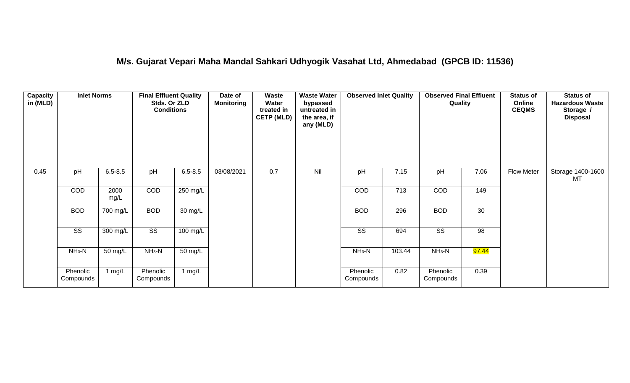#### **M/s. Gujarat Vepari Maha Mandal Sahkari Udhyogik Vasahat Ltd, Ahmedabad (GPCB ID: 11536)**

| <b>Capacity</b><br>in (MLD) | <b>Inlet Norms</b>     |              | <b>Final Effluent Quality</b><br>Stds. Or ZLD<br><b>Conditions</b> |                      | Date of<br><b>Monitoring</b> | Waste<br>Water<br>treated in<br><b>CETP (MLD)</b> | <b>Waste Water</b><br>bypassed<br>untreated in<br>the area, if<br>any (MLD) | <b>Observed Inlet Quality</b> |        | <b>Observed Final Effluent</b><br>Quality |                    | <b>Status of</b><br>Online<br><b>CEQMS</b> | <b>Status of</b><br><b>Hazardous Waste</b><br>Storage /<br><b>Disposal</b> |
|-----------------------------|------------------------|--------------|--------------------------------------------------------------------|----------------------|------------------------------|---------------------------------------------------|-----------------------------------------------------------------------------|-------------------------------|--------|-------------------------------------------|--------------------|--------------------------------------------|----------------------------------------------------------------------------|
| 0.45                        | pH                     | $6.5 - 8.5$  | pH                                                                 | $6.5 - 8.5$          | 03/08/2021                   | 0.7                                               | Nil                                                                         | pH                            | 7.15   | pH                                        | 7.06               | Flow Meter                                 | Storage 1400-1600<br>МT                                                    |
|                             | COD                    | 2000<br>mg/L | COD                                                                | 250 mg/L             |                              |                                                   |                                                                             | COD                           | 713    | COD                                       | 149                |                                            |                                                                            |
|                             | <b>BOD</b>             | 700 mg/L     | <b>BOD</b>                                                         | 30 mg/L              |                              |                                                   |                                                                             | <b>BOD</b>                    | 296    | <b>BOD</b>                                | 30                 |                                            |                                                                            |
|                             | $\overline{\text{ss}}$ | 300 mg/L     | $\overline{\text{ss}}$                                             | $100 \text{ mg/L}$   |                              |                                                   |                                                                             | $\overline{\text{ss}}$        | 694    | $\overline{\text{ss}}$                    | $\overline{98}$    |                                            |                                                                            |
|                             | $NH3-N$                | 50 mg/L      | $NH3-N$                                                            | $\overline{50}$ mg/L |                              |                                                   |                                                                             | $NH3-N$                       | 103.44 | $NH3-N$                                   | <mark>97.44</mark> |                                            |                                                                            |
|                             | Phenolic<br>Compounds  | 1 $mg/L$     | Phenolic<br>Compounds                                              | 1 mg/L               |                              |                                                   |                                                                             | Phenolic<br>Compounds         | 0.82   | Phenolic<br>Compounds                     | 0.39               |                                            |                                                                            |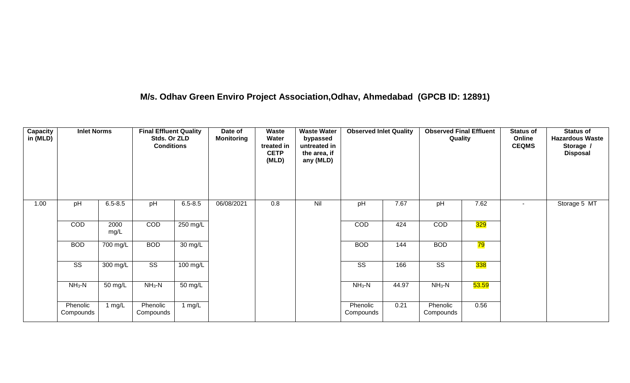## **M/s. Odhav Green Enviro Project Association,Odhav, Ahmedabad (GPCB ID: 12891)**

| Capacity<br>in (MLD) | <b>Inlet Norms</b>     |              | <b>Final Effluent Quality</b><br>Stds. Or ZLD<br><b>Conditions</b> |             | Date of<br><b>Monitoring</b> | Waste<br>Water<br>treated in<br><b>CETP</b><br>(MLD) | <b>Waste Water</b><br>bypassed<br>untreated in<br>the area, if<br>any (MLD) | <b>Observed Inlet Quality</b> |       | <b>Observed Final Effluent</b><br>Quality |       | <b>Status of</b><br>Online<br><b>CEQMS</b> | <b>Status of</b><br><b>Hazardous Waste</b><br>Storage /<br><b>Disposal</b> |
|----------------------|------------------------|--------------|--------------------------------------------------------------------|-------------|------------------------------|------------------------------------------------------|-----------------------------------------------------------------------------|-------------------------------|-------|-------------------------------------------|-------|--------------------------------------------|----------------------------------------------------------------------------|
| 1.00                 | pH                     | $6.5 - 8.5$  | pH                                                                 | $6.5 - 8.5$ | 06/08/2021                   | 0.8                                                  | Nil                                                                         | pH                            | 7.67  | pH                                        | 7.62  | $\sim$                                     | Storage 5 MT                                                               |
|                      | COD                    | 2000<br>mg/L | COD                                                                | 250 mg/L    |                              |                                                      |                                                                             | <b>COD</b>                    | 424   | <b>COD</b>                                | 329   |                                            |                                                                            |
|                      | <b>BOD</b>             | 700 mg/L     | <b>BOD</b>                                                         | 30 mg/L     |                              |                                                      |                                                                             | <b>BOD</b>                    | 144   | <b>BOD</b>                                | 79    |                                            |                                                                            |
|                      | $\overline{\text{SS}}$ | 300 mg/L     | $\overline{\text{SS}}$                                             | 100 mg/L    |                              |                                                      |                                                                             | $\overline{\text{SS}}$        | 166   | $\overline{\text{SS}}$                    | 338   |                                            |                                                                            |
|                      | $NH3-N$                | 50 mg/L      | $NH_3-N$                                                           | 50 mg/L     |                              |                                                      |                                                                             | $NH3-N$                       | 44.97 | $NH_3-N$                                  | 53.59 |                                            |                                                                            |
|                      | Phenolic<br>Compounds  | 1 mg/L       | Phenolic<br>Compounds                                              | 1 $mg/L$    |                              |                                                      |                                                                             | Phenolic<br>Compounds         | 0.21  | Phenolic<br>Compounds                     | 0.56  |                                            |                                                                            |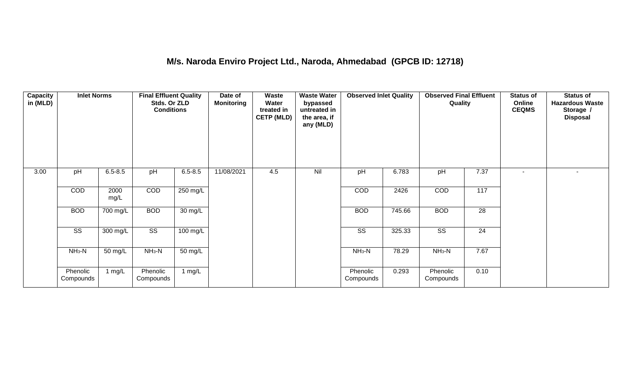## **M/s. Naroda Enviro Project Ltd., Naroda, Ahmedabad (GPCB ID: 12718)**

| Capacity<br>in (MLD) | <b>Inlet Norms</b>     |              | <b>Final Effluent Quality</b><br>Stds. Or ZLD<br><b>Conditions</b> |                      | Date of<br><b>Monitoring</b> | <b>Waste</b><br>Water<br>treated in<br><b>CETP (MLD)</b> | <b>Waste Water</b><br>bypassed<br>untreated in<br>the area, if<br>any (MLD) | <b>Observed Inlet Quality</b> |        | <b>Observed Final Effluent</b><br>Quality |                   | <b>Status of</b><br>Online<br><b>CEQMS</b> | <b>Status of</b><br><b>Hazardous Waste</b><br>Storage /<br><b>Disposal</b> |
|----------------------|------------------------|--------------|--------------------------------------------------------------------|----------------------|------------------------------|----------------------------------------------------------|-----------------------------------------------------------------------------|-------------------------------|--------|-------------------------------------------|-------------------|--------------------------------------------|----------------------------------------------------------------------------|
| 3.00                 | pH                     | $6.5 - 8.5$  | pH                                                                 | $6.5 - 8.5$          | 11/08/2021                   | 4.5                                                      | Nil                                                                         | pH                            | 6.783  | pH                                        | 7.37              | $\blacksquare$                             | $\sim$                                                                     |
|                      | COD                    | 2000<br>mg/L | COD                                                                | 250 mg/L             |                              |                                                          |                                                                             | COD                           | 2426   | COD                                       | $\frac{117}{117}$ |                                            |                                                                            |
|                      | <b>BOD</b>             | 700 mg/L     | <b>BOD</b>                                                         | 30 mg/L              |                              |                                                          |                                                                             | <b>BOD</b>                    | 745.66 | <b>BOD</b>                                | 28                |                                            |                                                                            |
|                      | $\overline{\text{ss}}$ | 300 mg/L     | $\overline{\text{ss}}$                                             | $100$ mg/L           |                              |                                                          |                                                                             | $\overline{\text{ss}}$        | 325.33 | $\overline{\text{SS}}$                    | $\overline{24}$   |                                            |                                                                            |
|                      | $NH3-N$                | 50 mg/L      | $NH3-N$                                                            | $\overline{50}$ mg/L |                              |                                                          |                                                                             | $NH3-N$                       | 78.29  | $NH3-N$                                   | 7.67              |                                            |                                                                            |
|                      | Phenolic<br>Compounds  | 1 $mg/L$     | Phenolic<br>Compounds                                              | 1 mg/L               |                              |                                                          |                                                                             | Phenolic<br>Compounds         | 0.293  | Phenolic<br>Compounds                     | 0.10              |                                            |                                                                            |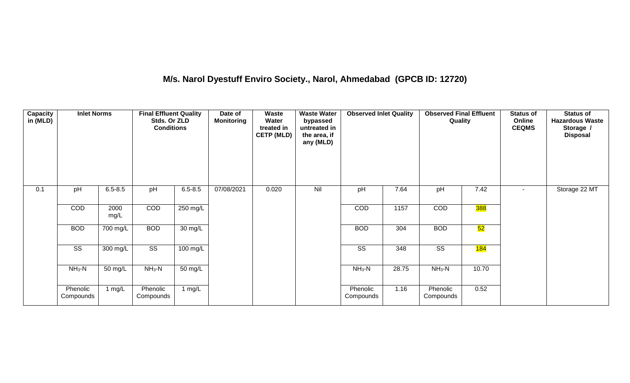## **M/s. Narol Dyestuff Enviro Society., Narol, Ahmedabad (GPCB ID: 12720)**

| Capacity<br>in (MLD) | <b>Inlet Norms</b>     |              | <b>Final Effluent Quality</b><br>Stds. Or ZLD<br><b>Conditions</b> |                   | Date of<br><b>Monitoring</b> | Waste<br>Water<br>treated in<br><b>CETP (MLD)</b> | <b>Waste Water</b><br>bypassed<br>untreated in<br>the area, if<br>any (MLD) | <b>Observed Inlet Quality</b> |       | <b>Observed Final Effluent</b><br>Quality |       | <b>Status of</b><br>Online<br><b>CEQMS</b> | Status of<br><b>Hazardous Waste</b><br>Storage /<br><b>Disposal</b> |
|----------------------|------------------------|--------------|--------------------------------------------------------------------|-------------------|------------------------------|---------------------------------------------------|-----------------------------------------------------------------------------|-------------------------------|-------|-------------------------------------------|-------|--------------------------------------------|---------------------------------------------------------------------|
| 0.1                  | pH                     | $6.5 - 8.5$  | pH                                                                 | $6.5 - 8.5$       | 07/08/2021                   | 0.020                                             | Nil                                                                         | pH                            | 7.64  | pH                                        | 7.42  | $\sim$                                     | Storage 22 MT                                                       |
|                      | <b>COD</b>             | 2000<br>mg/L | COD                                                                | 250 mg/L          |                              |                                                   |                                                                             | COD                           | 1157  | COD                                       | 388   |                                            |                                                                     |
|                      | <b>BOD</b>             | 700 mg/L     | <b>BOD</b>                                                         | 30 mg/L           |                              |                                                   |                                                                             | <b>BOD</b>                    | 304   | <b>BOD</b>                                | 52    |                                            |                                                                     |
|                      | $\overline{\text{ss}}$ | 300 mg/L     | $\overline{\text{ss}}$                                             | $100$ mg/L        |                              |                                                   |                                                                             | $\overline{\text{ss}}$        | 348   | $\overline{\text{SS}}$                    | 184   |                                            |                                                                     |
|                      | $NH3-N$                | 50 mg/L      | $NH3-N$                                                            | $50 \text{ mg/L}$ |                              |                                                   |                                                                             | $NH3-N$                       | 28.75 | $NH3-N$                                   | 10.70 |                                            |                                                                     |
|                      | Phenolic<br>Compounds  | 1 mg/L       | Phenolic<br>Compounds                                              | 1 $mg/L$          |                              |                                                   |                                                                             | Phenolic<br>Compounds         | 1.16  | Phenolic<br>Compounds                     | 0.52  |                                            |                                                                     |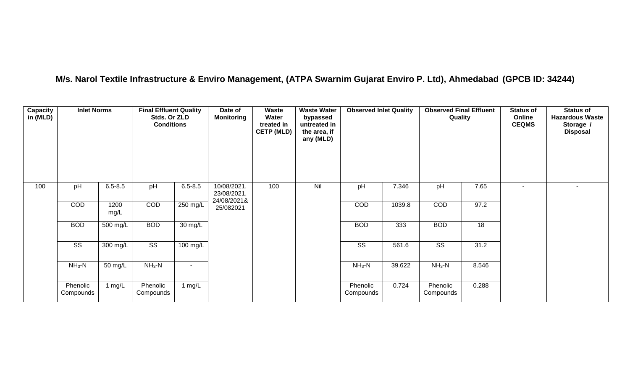## **M/s. Narol Textile Infrastructure & Enviro Management, (ATPA Swarnim Gujarat Enviro P. Ltd), Ahmedabad (GPCB ID: 34244)**

| <b>Capacity</b><br>in (MLD) | <b>Inlet Norms</b>     |              | <b>Final Effluent Quality</b><br>Stds. Or ZLD<br><b>Conditions</b> |             | Date of<br><b>Monitoring</b>              | Waste<br>Water<br>treated in<br><b>CETP (MLD)</b> | <b>Waste Water</b><br>bypassed<br>untreated in<br>the area, if<br>any (MLD) | <b>Observed Inlet Quality</b> |        | <b>Observed Final Effluent</b><br>Quality |       | <b>Status of</b><br>Online<br><b>CEQMS</b> | <b>Status of</b><br><b>Hazardous Waste</b><br>Storage /<br><b>Disposal</b> |
|-----------------------------|------------------------|--------------|--------------------------------------------------------------------|-------------|-------------------------------------------|---------------------------------------------------|-----------------------------------------------------------------------------|-------------------------------|--------|-------------------------------------------|-------|--------------------------------------------|----------------------------------------------------------------------------|
| 100                         | pH                     | $6.5 - 8.5$  | pH                                                                 | $6.5 - 8.5$ | 10/08/2021,<br>23/08/2021,<br>24/08/2021& | 100                                               | Nil                                                                         | pH                            | 7.346  | pH                                        | 7.65  | $\overline{\phantom{a}}$                   | $\overline{\phantom{a}}$                                                   |
|                             | COD                    | 1200<br>mg/L | COD                                                                | 250 mg/L    | 25/082021                                 |                                                   |                                                                             | COD                           | 1039.8 | COD                                       | 97.2  |                                            |                                                                            |
|                             | <b>BOD</b>             | 500 mg/L     | <b>BOD</b>                                                         | 30 mg/L     |                                           |                                                   |                                                                             | <b>BOD</b>                    | 333    | <b>BOD</b>                                | 18    |                                            |                                                                            |
|                             | $\overline{\text{ss}}$ | 300 mg/L     | $\overline{\text{ss}}$                                             | 100 mg/L    |                                           |                                                   |                                                                             | $\overline{\text{SS}}$        | 561.6  | $\overline{\text{SS}}$                    | 31.2  |                                            |                                                                            |
|                             | $NH3-N$                | 50 mg/L      | $NH3-N$                                                            |             |                                           |                                                   |                                                                             | $NH3-N$                       | 39.622 | $NH_3-N$                                  | 8.546 |                                            |                                                                            |
|                             | Phenolic<br>Compounds  | 1 $mg/L$     | Phenolic<br>Compounds                                              | 1 $mg/L$    |                                           |                                                   |                                                                             | Phenolic<br>Compounds         | 0.724  | Phenolic<br>Compounds                     | 0.288 |                                            |                                                                            |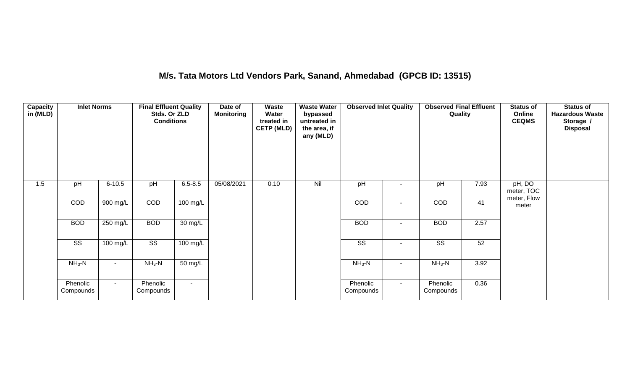## **M/s. Tata Motors Ltd Vendors Park, Sanand, Ahmedabad (GPCB ID: 13515)**

| Capacity<br>in(MLD) | <b>Inlet Norms</b>     |            | <b>Final Effluent Quality</b><br>Stds. Or ZLD<br><b>Conditions</b> |             | Date of<br><b>Monitoring</b> | Waste<br>Water<br>treated in<br><b>CETP (MLD)</b> | <b>Waste Water</b><br>bypassed<br>untreated in<br>the area, if<br>any (MLD) | <b>Observed Inlet Quality</b> |        | <b>Observed Final Effluent</b><br>Quality |      | <b>Status of</b><br>Online<br><b>CEQMS</b> | <b>Status of</b><br><b>Hazardous Waste</b><br>Storage /<br><b>Disposal</b> |
|---------------------|------------------------|------------|--------------------------------------------------------------------|-------------|------------------------------|---------------------------------------------------|-----------------------------------------------------------------------------|-------------------------------|--------|-------------------------------------------|------|--------------------------------------------|----------------------------------------------------------------------------|
| 1.5                 | pH                     | $6 - 10.5$ | pH                                                                 | $6.5 - 8.5$ | 05/08/2021                   | 0.10                                              | Nil                                                                         | pH                            |        | pH                                        | 7.93 | pH, DO<br>meter, TOC<br>meter, Flow        |                                                                            |
|                     | COD                    | 900 mg/L   | COD                                                                | 100 mg/L    |                              |                                                   |                                                                             | COD                           | $\sim$ | COD                                       | 41   | meter                                      |                                                                            |
|                     | <b>BOD</b>             | 250 mg/L   | <b>BOD</b>                                                         | 30 mg/L     |                              |                                                   |                                                                             | <b>BOD</b>                    | $\sim$ | <b>BOD</b>                                | 2.57 |                                            |                                                                            |
|                     | $\overline{\text{ss}}$ | 100 mg/L   | $\overline{\text{ss}}$                                             | $100$ mg/L  |                              |                                                   |                                                                             | $\overline{\text{ss}}$        | $\sim$ | $\overline{\text{ss}}$                    | 52   |                                            |                                                                            |
|                     | $NH3-N$                |            | $NH3-N$                                                            | 50 mg/L     |                              |                                                   |                                                                             | $NH3-N$                       |        | $NH3-N$                                   | 3.92 |                                            |                                                                            |
|                     | Phenolic<br>Compounds  | $\sim$     | Phenolic<br>Compounds                                              | $\sim$      |                              |                                                   |                                                                             | Phenolic<br>Compounds         | $\sim$ | Phenolic<br>Compounds                     | 0.36 |                                            |                                                                            |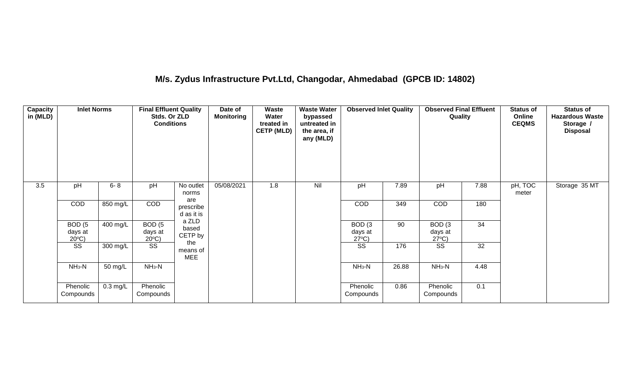## **M/s. Zydus Infrastructure Pvt.Ltd, Changodar, Ahmedabad (GPCB ID: 14802)**

| Capacity<br>in (MLD) | <b>Inlet Norms</b>                              |            | <b>Final Effluent Quality</b><br>Stds. Or ZLD<br><b>Conditions</b> |                                | Date of<br><b>Monitoring</b> | Waste<br>Water<br>treated in<br><b>CETP (MLD)</b> | <b>Waste Water</b><br>bypassed<br>untreated in<br>the area, if<br>any (MLD) | <b>Observed Inlet Quality</b>                   |       | <b>Observed Final Effluent</b><br>Quality       |      | <b>Status of</b><br>Online<br><b>CEQMS</b> | <b>Status of</b><br><b>Hazardous Waste</b><br>Storage /<br><b>Disposal</b> |
|----------------------|-------------------------------------------------|------------|--------------------------------------------------------------------|--------------------------------|------------------------------|---------------------------------------------------|-----------------------------------------------------------------------------|-------------------------------------------------|-------|-------------------------------------------------|------|--------------------------------------------|----------------------------------------------------------------------------|
| 3.5                  | pH                                              | $6 - 8$    | pH                                                                 | No outlet<br>norms             | 05/08/2021                   | 1.8                                               | Nil                                                                         | pH                                              | 7.89  | pH                                              | 7.88 | pH, TOC<br>meter                           | Storage 35 MT                                                              |
|                      | <b>COD</b>                                      | 850 mg/L   | <b>COD</b>                                                         | are<br>prescribe<br>d as it is |                              |                                                   |                                                                             | <b>COD</b>                                      | 349   | <b>COD</b>                                      | 180  |                                            |                                                                            |
|                      | BOD <sub>(5</sub><br>days at<br>$20^{\circ}$ C) | 400 mg/L   | BOD <sub>(5</sub><br>days at<br>$20^{\circ}$ C)                    | a ZLD<br>based<br>CETP by      |                              |                                                   |                                                                             | BOD <sub>(3</sub><br>days at<br>$27^{\circ}C$ ) | 90    | BOD <sub>(3</sub><br>days at<br>$27^{\circ}C$ ) | 34   |                                            |                                                                            |
|                      | SS                                              | 300 mg/L   | SS                                                                 | the<br>means of<br><b>MEE</b>  |                              |                                                   |                                                                             | SS                                              | 176   | SS                                              | 32   |                                            |                                                                            |
|                      | $NH3-N$                                         | 50 mg/L    | $NH3-N$                                                            |                                |                              |                                                   |                                                                             | $NH3-N$                                         | 26.88 | $NH3-N$                                         | 4.48 |                                            |                                                                            |
|                      | Phenolic<br>Compounds                           | $0.3$ mg/L | Phenolic<br>Compounds                                              |                                |                              |                                                   |                                                                             | Phenolic<br>Compounds                           | 0.86  | Phenolic<br>Compounds                           | 0.1  |                                            |                                                                            |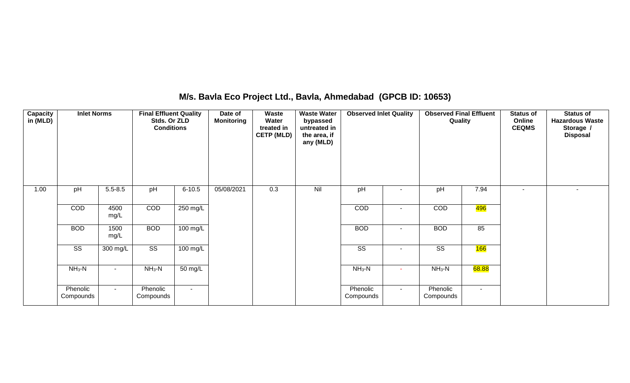## **M/s. Bavla Eco Project Ltd., Bavla, Ahmedabad (GPCB ID: 10653)**

| <b>Capacity</b><br>in (MLD) | <b>Inlet Norms</b>     |              | <b>Final Effluent Quality</b><br>Stds. Or ZLD<br><b>Conditions</b> |                    | Date of<br><b>Monitoring</b> | Waste<br>Water<br>treated in<br><b>CETP (MLD)</b> | <b>Waste Water</b><br>bypassed<br>untreated in<br>the area, if<br>any (MLD) | <b>Observed Inlet Quality</b> |                | <b>Observed Final Effluent</b><br>Quality |            | <b>Status of</b><br>Online<br><b>CEQMS</b> | <b>Status of</b><br><b>Hazardous Waste</b><br>Storage /<br><b>Disposal</b> |
|-----------------------------|------------------------|--------------|--------------------------------------------------------------------|--------------------|------------------------------|---------------------------------------------------|-----------------------------------------------------------------------------|-------------------------------|----------------|-------------------------------------------|------------|--------------------------------------------|----------------------------------------------------------------------------|
| 1.00                        | pH                     | $5.5 - 8.5$  | pH                                                                 | $6 - 10.5$         | 05/08/2021                   | 0.3                                               | Nil                                                                         | pH                            |                | pH                                        | 7.94       | $\overline{\phantom{a}}$                   |                                                                            |
|                             | COD                    | 4500<br>mg/L | COD                                                                | 250 mg/L           |                              |                                                   |                                                                             | COD                           | ۰              | COD                                       | 496        |                                            |                                                                            |
|                             | <b>BOD</b>             | 1500<br>mg/L | <b>BOD</b>                                                         | $100 \text{ mg/L}$ |                              |                                                   |                                                                             | <b>BOD</b>                    | ۰              | <b>BOD</b>                                | 85         |                                            |                                                                            |
|                             | $\overline{\text{ss}}$ | 300 mg/L     | $\overline{\text{ss}}$                                             | 100 mg/L           |                              |                                                   |                                                                             | $\overline{\text{ss}}$        | $\blacksquare$ | $\overline{\text{SS}}$                    | <b>166</b> |                                            |                                                                            |
|                             | $NH3-N$                | $\sim$       | $NH3-N$                                                            | 50 mg/L            |                              |                                                   |                                                                             | $NH3-N$                       | ٠              | $NH3-N$                                   | 68.88      |                                            |                                                                            |
|                             | Phenolic<br>Compounds  | $\sim$       | Phenolic<br>Compounds                                              | $\sim$             |                              |                                                   |                                                                             | Phenolic<br>Compounds         | $\sim$         | Phenolic<br>Compounds                     | $\sim$     |                                            |                                                                            |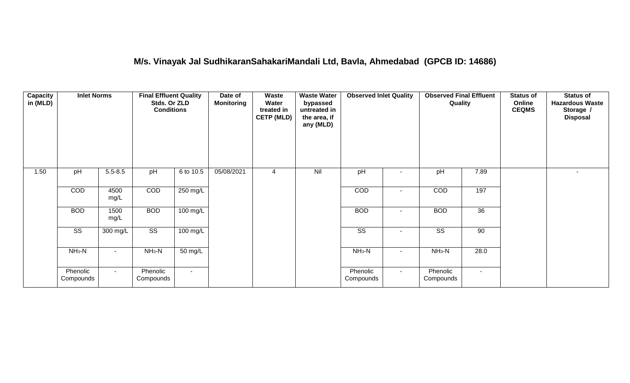## **M/s. Vinayak Jal SudhikaranSahakariMandali Ltd, Bavla, Ahmedabad (GPCB ID: 14686)**

| Capacity<br>in (MLD) | <b>Inlet Norms</b>     |              | <b>Final Effluent Quality</b><br>Stds. Or ZLD<br><b>Conditions</b> |                      | Date of<br><b>Monitoring</b> | Waste<br>Water<br>treated in<br><b>CETP (MLD)</b> | <b>Waste Water</b><br>bypassed<br>untreated in<br>the area, if<br>any (MLD) | <b>Observed Inlet Quality</b> |        | <b>Observed Final Effluent</b><br>Quality |        | <b>Status of</b><br>Online<br><b>CEQMS</b> | <b>Status of</b><br><b>Hazardous Waste</b><br>Storage /<br><b>Disposal</b> |
|----------------------|------------------------|--------------|--------------------------------------------------------------------|----------------------|------------------------------|---------------------------------------------------|-----------------------------------------------------------------------------|-------------------------------|--------|-------------------------------------------|--------|--------------------------------------------|----------------------------------------------------------------------------|
| 1.50                 | pH                     | $5.5 - 8.5$  | pH                                                                 | 6 to 10.5            | 05/08/2021                   | 4                                                 | Nil                                                                         | pH                            |        | pH                                        | 7.89   |                                            | $\sim$                                                                     |
|                      | COD                    | 4500<br>mg/L | COD                                                                | 250 mg/L             |                              |                                                   |                                                                             | COD                           |        | COD                                       | 197    |                                            |                                                                            |
|                      | <b>BOD</b>             | 1500<br>mg/L | <b>BOD</b>                                                         | 100 mg/L             |                              |                                                   |                                                                             | <b>BOD</b>                    | $\sim$ | <b>BOD</b>                                | 36     |                                            |                                                                            |
|                      | $\overline{\text{SS}}$ | 300 mg/L     | $\overline{\text{SS}}$                                             | $100 \text{ mg/L}$   |                              |                                                   |                                                                             | $\overline{\text{ss}}$        |        | $\overline{\text{ss}}$                    | 90     |                                            |                                                                            |
|                      | $NH3-N$                |              | $NH3-N$                                                            | $\overline{50}$ mg/L |                              |                                                   |                                                                             | $NH3-N$                       | $\sim$ | $NH3-N$                                   | 28.0   |                                            |                                                                            |
|                      | Phenolic<br>Compounds  | $\sim$       | Phenolic<br>Compounds                                              | $\sim$               |                              |                                                   |                                                                             | Phenolic<br>Compounds         | $\sim$ | Phenolic<br>Compounds                     | $\sim$ |                                            |                                                                            |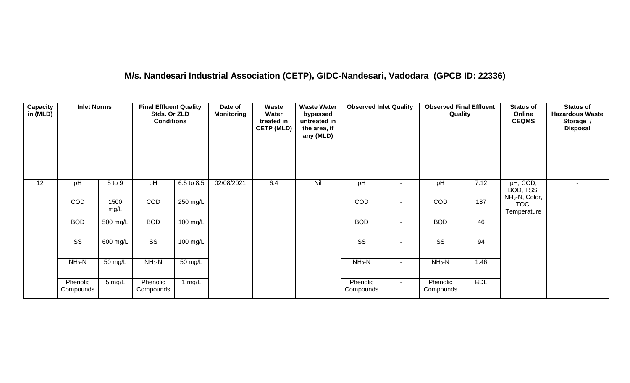## **M/s. Nandesari Industrial Association (CETP), GIDC-Nandesari, Vadodara (GPCB ID: 22336)**

| <b>Capacity</b><br>in (MLD) | <b>Inlet Norms</b>     |              | <b>Final Effluent Quality</b><br>Stds. Or ZLD<br><b>Conditions</b> |                    | Date of<br><b>Monitoring</b> | <b>Waste</b><br>Water<br>treated in<br><b>CETP (MLD)</b> | <b>Waste Water</b><br>bypassed<br>untreated in<br>the area, if<br>any (MLD) | <b>Observed Inlet Quality</b> |        | <b>Observed Final Effluent</b><br>Quality |            | <b>Status of</b><br>Online<br><b>CEQMS</b>          | <b>Status of</b><br><b>Hazardous Waste</b><br>Storage /<br><b>Disposal</b> |
|-----------------------------|------------------------|--------------|--------------------------------------------------------------------|--------------------|------------------------------|----------------------------------------------------------|-----------------------------------------------------------------------------|-------------------------------|--------|-------------------------------------------|------------|-----------------------------------------------------|----------------------------------------------------------------------------|
| 12                          | pH                     | 5 to 9       | pH                                                                 | 6.5 to 8.5         | 02/08/2021                   | 6.4                                                      | Nil                                                                         | pH                            |        | pH                                        | 7.12       | pH, COD,<br>BOD, TSS,<br>NH <sub>3</sub> -N, Color, | $\sim$                                                                     |
|                             | COD                    | 1500<br>mg/L | COD                                                                | 250 mg/L           |                              |                                                          |                                                                             | COD                           |        | COD                                       | 187        | TOC,<br>Temperature                                 |                                                                            |
|                             | <b>BOD</b>             | 500 mg/L     | <b>BOD</b>                                                         | $100 \text{ mg/L}$ |                              |                                                          |                                                                             | <b>BOD</b>                    | $\sim$ | <b>BOD</b>                                | 46         |                                                     |                                                                            |
|                             | $\overline{\text{ss}}$ | 600 mg/L     | $\overline{\text{ss}}$                                             | $100$ mg/L         |                              |                                                          |                                                                             | $\overline{\text{ss}}$        | $\sim$ | $\overline{\text{SS}}$                    | 94         |                                                     |                                                                            |
|                             | $NH_3-N$               | 50 mg/L      | $NH3-N$                                                            | 50 mg/L            |                              |                                                          |                                                                             | $NH3-N$                       | $\sim$ | $NH_3-N$                                  | 1.46       |                                                     |                                                                            |
|                             | Phenolic<br>Compounds  | 5 mg/L       | Phenolic<br>Compounds                                              | 1 $mg/L$           |                              |                                                          |                                                                             | Phenolic<br>Compounds         | $\sim$ | Phenolic<br>Compounds                     | <b>BDL</b> |                                                     |                                                                            |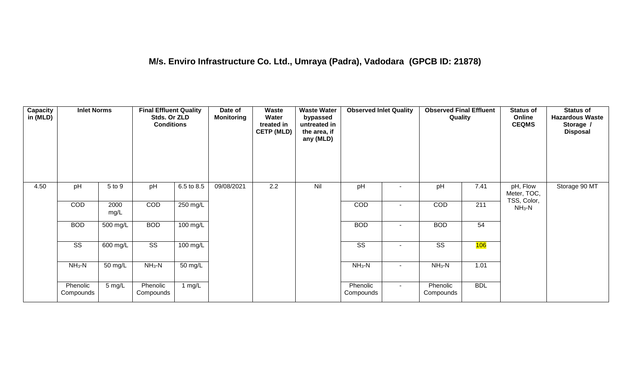| Capacity<br>in (MLD) | <b>Inlet Norms</b>     |              | <b>Final Effluent Quality</b><br>Stds. Or ZLD<br><b>Conditions</b> |                    | Date of<br><b>Monitoring</b> | Waste<br>Water<br>treated in<br><b>CETP (MLD)</b> | <b>Waste Water</b><br>bypassed<br>untreated in<br>the area, if<br>any (MLD) | <b>Observed Inlet Quality</b> |                          | <b>Observed Final Effluent</b><br>Quality |            | <b>Status of</b><br>Online<br><b>CEQMS</b> | <b>Status of</b><br><b>Hazardous Waste</b><br>Storage /<br><b>Disposal</b> |
|----------------------|------------------------|--------------|--------------------------------------------------------------------|--------------------|------------------------------|---------------------------------------------------|-----------------------------------------------------------------------------|-------------------------------|--------------------------|-------------------------------------------|------------|--------------------------------------------|----------------------------------------------------------------------------|
| 4.50                 | pH                     | 5 to 9       | pH                                                                 | 6.5 to 8.5         | 09/08/2021                   | 2.2                                               | Nil                                                                         | pH                            |                          | pH                                        | 7.41       | pH, Flow<br>Meter, TOC,<br>TSS, Color,     | Storage 90 MT                                                              |
|                      | COD                    | 2000<br>mg/L | COD                                                                | $250 \text{ mg/L}$ |                              |                                                   |                                                                             | COD                           | $\overline{\phantom{0}}$ | COD                                       | 211        | $NH3-N$                                    |                                                                            |
|                      | <b>BOD</b>             | 500 mg/L     | <b>BOD</b>                                                         | 100 mg/L           |                              |                                                   |                                                                             | <b>BOD</b>                    | $\sim$                   | <b>BOD</b>                                | 54         |                                            |                                                                            |
|                      | $\overline{\text{ss}}$ | 600 mg/L     | $\overline{\text{ss}}$                                             | $100$ mg/L         |                              |                                                   |                                                                             | $\overline{\text{ss}}$        | $\sim$                   | $\overline{\text{ss}}$                    | 106        |                                            |                                                                            |
|                      | $NH_3-N$               | 50 mg/L      | $NH3-N$                                                            | 50 mg/L            |                              |                                                   |                                                                             | $NH_3-N$                      |                          | $NH3-N$                                   | 1.01       |                                            |                                                                            |
|                      | Phenolic<br>Compounds  | 5 mg/L       | Phenolic<br>Compounds                                              | 1 mg/L             |                              |                                                   |                                                                             | Phenolic<br>Compounds         | $\sim$                   | Phenolic<br>Compounds                     | <b>BDL</b> |                                            |                                                                            |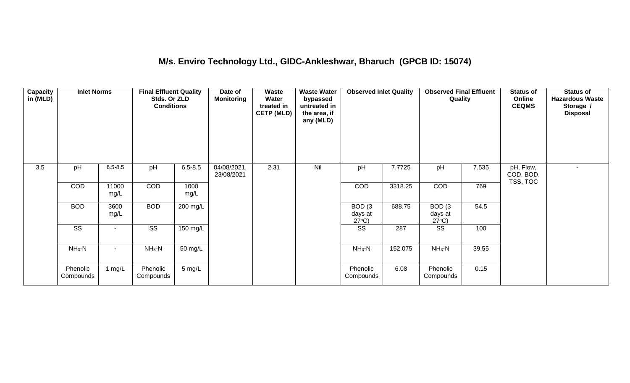## **M/s. Enviro Technology Ltd., GIDC-Ankleshwar, Bharuch (GPCB ID: 15074)**

| <b>Capacity</b><br>in (MLD) | <b>Inlet Norms</b>     |               | <b>Final Effluent Quality</b><br>Stds. Or ZLD<br><b>Conditions</b> |                  | Date of<br><b>Monitoring</b> | <b>Waste</b><br>Water<br>treated in<br><b>CETP (MLD)</b> | <b>Waste Water</b><br>bypassed<br>untreated in<br>the area, if<br>any (MLD) | <b>Observed Inlet Quality</b>                   |         | <b>Observed Final Effluent</b><br>Quality       |       | <b>Status of</b><br>Online<br><b>CEQMS</b> | <b>Status of</b><br><b>Hazardous Waste</b><br>Storage /<br><b>Disposal</b> |
|-----------------------------|------------------------|---------------|--------------------------------------------------------------------|------------------|------------------------------|----------------------------------------------------------|-----------------------------------------------------------------------------|-------------------------------------------------|---------|-------------------------------------------------|-------|--------------------------------------------|----------------------------------------------------------------------------|
| 3.5                         | pH                     | $6.5 - 8.5$   | pH                                                                 | $6.5 - 8.5$      | 04/08/2021,<br>23/08/2021    | 2.31                                                     | Nil                                                                         | pH                                              | 7.7725  | pH                                              | 7.535 | pH, Flow,<br>COD, BOD,<br>TSS, TOC         | $\overline{\phantom{a}}$                                                   |
|                             | COD                    | 11000<br>mg/L | COD                                                                | 1000<br>mg/L     |                              |                                                          |                                                                             | COD                                             | 3318.25 | COD                                             | 769   |                                            |                                                                            |
|                             | <b>BOD</b>             | 3600<br>mg/L  | <b>BOD</b>                                                         | 200 mg/L         |                              |                                                          |                                                                             | BOD <sub>(3</sub><br>days at<br>$27^{\circ}C$ ) | 688.75  | BOD <sub>(3</sub><br>days at<br>$27^{\circ}C$ ) | 54.5  |                                            |                                                                            |
|                             | $\overline{\text{ss}}$ | $\sim$        | $\overline{\text{ss}}$                                             | 150 mg/L         |                              |                                                          |                                                                             | $\overline{\text{ss}}$                          | 287     | $\overline{\text{SS}}$                          | 100   |                                            |                                                                            |
|                             | $NH3-N$                |               | $NH3-N$                                                            | 50 mg/L          |                              |                                                          |                                                                             | $NH3-N$                                         | 152.075 | $NH_3-N$                                        | 39.55 |                                            |                                                                            |
|                             | Phenolic<br>Compounds  | 1 $mg/L$      | Phenolic<br>Compounds                                              | $5 \text{ mg/L}$ |                              |                                                          |                                                                             | Phenolic<br>Compounds                           | 6.08    | Phenolic<br>Compounds                           | 0.15  |                                            |                                                                            |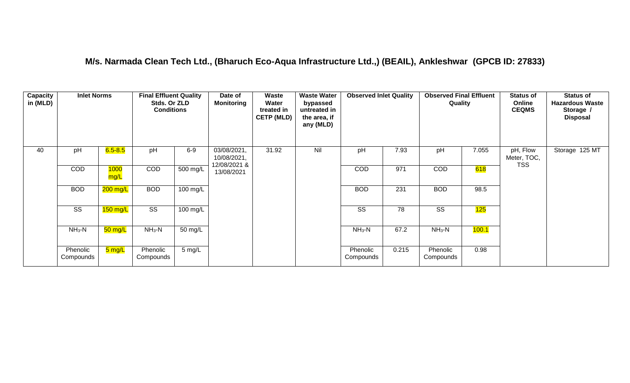#### **M/s. Narmada Clean Tech Ltd., (Bharuch Eco-Aqua Infrastructure Ltd.,) (BEAIL), Ankleshwar (GPCB ID: 27833)**

| Capacity<br>in (MLD) | <b>Inlet Norms</b>    |                     | <b>Final Effluent Quality</b><br>Stds. Or ZLD<br><b>Conditions</b> |                  | Date of<br><b>Monitoring</b> | Waste<br>Water<br>treated in<br><b>CETP (MLD)</b> | <b>Waste Water</b><br>bypassed<br>untreated in<br>the area, if<br>any (MLD) | <b>Observed Inlet Quality</b> |       | <b>Observed Final Effluent</b><br>Quality |       | <b>Status of</b><br>Online<br><b>CEQMS</b> | <b>Status of</b><br><b>Hazardous Waste</b><br>Storage /<br><b>Disposal</b> |
|----------------------|-----------------------|---------------------|--------------------------------------------------------------------|------------------|------------------------------|---------------------------------------------------|-----------------------------------------------------------------------------|-------------------------------|-------|-------------------------------------------|-------|--------------------------------------------|----------------------------------------------------------------------------|
| 40                   | pH                    | $6.5 - 8.5$         | pH                                                                 | $6-9$            | 03/08/2021,<br>10/08/2021,   | 31.92                                             | Nil                                                                         | pH                            | 7.93  | pH                                        | 7.055 | pH, Flow<br>Meter, TOC,                    | Storage 125 MT                                                             |
|                      | <b>COD</b>            | 1000<br>mg/L        | <b>COD</b>                                                         | 500 mg/L         | 12/08/2021 &<br>13/08/2021   |                                                   |                                                                             | <b>COD</b>                    | 971   | <b>COD</b>                                | 618   | <b>TSS</b>                                 |                                                                            |
|                      | <b>BOD</b>            | 200 mg/L            | <b>BOD</b>                                                         | 100 mg/L         |                              |                                                   |                                                                             | <b>BOD</b>                    | 231   | <b>BOD</b>                                | 98.5  |                                            |                                                                            |
|                      | SS                    | 150 mg/L            | SS                                                                 | $100$ mg/L       |                              |                                                   |                                                                             | <b>SS</b>                     | 78    | SS                                        | 125   |                                            |                                                                            |
|                      | $NH3-N$               | 50 mg/L             | $NH3-N$                                                            | 50 mg/L          |                              |                                                   |                                                                             | $NH3-N$                       | 67.2  | $NH3-N$                                   | 100.1 |                                            |                                                                            |
|                      | Phenolic<br>Compounds | <mark>5 mg/L</mark> | Phenolic<br>Compounds                                              | $5 \text{ mg/L}$ |                              |                                                   |                                                                             | Phenolic<br>Compounds         | 0.215 | Phenolic<br>Compounds                     | 0.98  |                                            |                                                                            |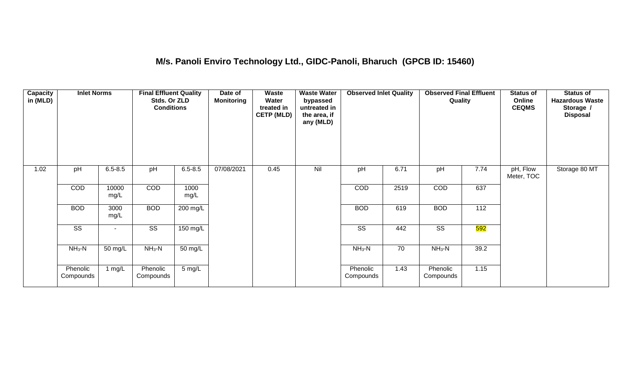#### **M/s. Panoli Enviro Technology Ltd., GIDC-Panoli, Bharuch (GPCB ID: 15460)**

| <b>Capacity</b><br>in (MLD) | <b>Inlet Norms</b>     |               | <b>Final Effluent Quality</b><br>Stds. Or ZLD<br><b>Conditions</b> |                  | Date of<br><b>Monitoring</b> | <b>Waste</b><br>Water<br>treated in<br><b>CETP (MLD)</b> | <b>Waste Water</b><br>bypassed<br>untreated in<br>the area, if<br>any (MLD) | <b>Observed Inlet Quality</b> |      | <b>Observed Final Effluent</b><br>Quality |      | <b>Status of</b><br>Online<br><b>CEQMS</b> | <b>Status of</b><br><b>Hazardous Waste</b><br>Storage /<br><b>Disposal</b> |
|-----------------------------|------------------------|---------------|--------------------------------------------------------------------|------------------|------------------------------|----------------------------------------------------------|-----------------------------------------------------------------------------|-------------------------------|------|-------------------------------------------|------|--------------------------------------------|----------------------------------------------------------------------------|
| 1.02                        | pH                     | $6.5 - 8.5$   | pH                                                                 | $6.5 - 8.5$      | 07/08/2021                   | 0.45                                                     | Nil                                                                         | pH                            | 6.71 | pH                                        | 7.74 | pH, Flow<br>Meter, TOC                     | Storage 80 MT                                                              |
|                             | COD                    | 10000<br>mg/L | COD                                                                | 1000<br>mg/L     |                              |                                                          |                                                                             | COD                           | 2519 | COD                                       | 637  |                                            |                                                                            |
|                             | <b>BOD</b>             | 3000<br>mg/L  | <b>BOD</b>                                                         | 200 mg/L         |                              |                                                          |                                                                             | <b>BOD</b>                    | 619  | <b>BOD</b>                                | 112  |                                            |                                                                            |
|                             | $\overline{\text{ss}}$ | $\sim$        | $\overline{\text{SS}}$                                             | $150$ mg/L       |                              |                                                          |                                                                             | $\overline{\text{SS}}$        | 442  | $\overline{\text{SS}}$                    | 592  |                                            |                                                                            |
|                             | $NH_3-N$               | 50 mg/L       | $NH_3-N$                                                           | 50 mg/L          |                              |                                                          |                                                                             | $NH3-N$                       | 70   | $NH_3-N$                                  | 39.2 |                                            |                                                                            |
|                             | Phenolic<br>Compounds  | 1 $mg/L$      | Phenolic<br>Compounds                                              | $5 \text{ mg/L}$ |                              |                                                          |                                                                             | Phenolic<br>Compounds         | 1.43 | Phenolic<br>Compounds                     | 1.15 |                                            |                                                                            |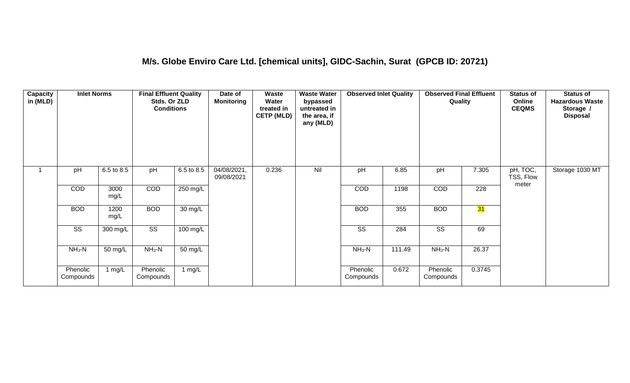#### **M/s. Globe Enviro Care Ltd. [chemical units], GIDC-Sachin, Surat (GPCB ID: 20721)**

| <b>Capacity</b><br>in (MLD) | <b>Inlet Norms</b>     |              | <b>Final Effluent Quality</b><br>Stds. Or ZLD<br><b>Conditions</b> |            | Date of<br><b>Monitoring</b> | <b>Waste</b><br>Water<br>treated in<br><b>CETP (MLD)</b> | <b>Waste Water</b><br>bypassed<br>untreated in<br>the area, if<br>any (MLD) | <b>Observed Inlet Quality</b> |        | <b>Observed Final Effluent</b><br>Quality |        | <b>Status of</b><br>Online<br><b>CEQMS</b> | <b>Status of</b><br><b>Hazardous Waste</b><br>Storage /<br><b>Disposal</b> |
|-----------------------------|------------------------|--------------|--------------------------------------------------------------------|------------|------------------------------|----------------------------------------------------------|-----------------------------------------------------------------------------|-------------------------------|--------|-------------------------------------------|--------|--------------------------------------------|----------------------------------------------------------------------------|
|                             | pH                     | 6.5 to 8.5   | pH                                                                 | 6.5 to 8.5 | 04/08/2021,<br>09/08/2021    | 0.236                                                    | Nil                                                                         | pH                            | 6.85   | pH                                        | 7.305  | pH, TOC,<br>TSS, Flow<br>meter             | Storage 1030 MT                                                            |
|                             | COD                    | 3000<br>mg/L | COD                                                                | 250 mg/L   |                              |                                                          |                                                                             | COD                           | 1198   | COD                                       | 228    |                                            |                                                                            |
|                             | <b>BOD</b>             | 1200<br>mg/L | <b>BOD</b>                                                         | 30 mg/L    |                              |                                                          |                                                                             | <b>BOD</b>                    | 355    | <b>BOD</b>                                | 31     |                                            |                                                                            |
|                             | $\overline{\text{ss}}$ | 300 mg/L     | $\overline{\text{ss}}$                                             | $100$ mg/L |                              |                                                          |                                                                             | $\overline{\text{ss}}$        | 284    | $\overline{\text{ss}}$                    | 69     |                                            |                                                                            |
|                             | $NH_3-N$               | 50 mg/L      | $NH_3-N$                                                           | 50 mg/L    |                              |                                                          |                                                                             | $NH3-N$                       | 111.49 | $NH3-N$                                   | 26.37  |                                            |                                                                            |
|                             | Phenolic<br>Compounds  | 1 $mg/L$     | Phenolic<br>Compounds                                              | 1 mg/L     |                              |                                                          |                                                                             | Phenolic<br>Compounds         | 0.672  | Phenolic<br>Compounds                     | 0.3745 |                                            |                                                                            |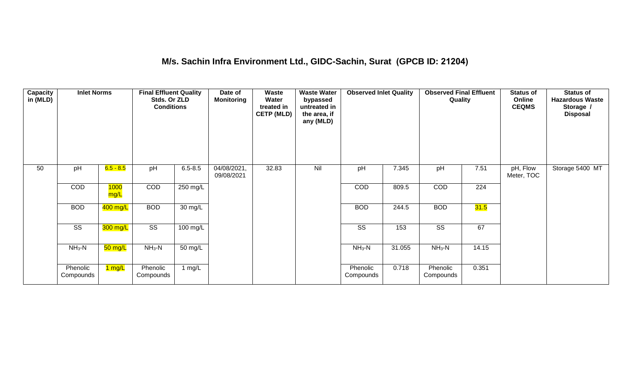#### **M/s. Sachin Infra Environment Ltd., GIDC-Sachin, Surat (GPCB ID: 21204)**

| Capacity<br>in (MLD) | <b>Inlet Norms</b>     |                       | <b>Final Effluent Quality</b><br>Stds. Or ZLD<br><b>Conditions</b> |                    | Date of<br><b>Monitoring</b> | <b>Waste</b><br>Water<br>treated in<br><b>CETP (MLD)</b> | <b>Waste Water</b><br>bypassed<br>untreated in<br>the area, if<br>any (MLD) | <b>Observed Inlet Quality</b> |        | <b>Observed Final Effluent</b><br>Quality |       | <b>Status of</b><br>Online<br><b>CEQMS</b> | <b>Status of</b><br><b>Hazardous Waste</b><br>Storage /<br><b>Disposal</b> |
|----------------------|------------------------|-----------------------|--------------------------------------------------------------------|--------------------|------------------------------|----------------------------------------------------------|-----------------------------------------------------------------------------|-------------------------------|--------|-------------------------------------------|-------|--------------------------------------------|----------------------------------------------------------------------------|
| 50                   | pH                     | $6.5 - 8.5$           | pH                                                                 | $6.5 - 8.5$        | 04/08/2021,<br>09/08/2021    | 32.83                                                    | Nil                                                                         | pH                            | 7.345  | pH                                        | 7.51  | pH, Flow<br>Meter, TOC                     | Storage 5400 MT                                                            |
|                      | COD                    | <b>1000</b><br>mg/L   | COD                                                                | 250 mg/L           |                              |                                                          |                                                                             | COD                           | 809.5  | COD                                       | 224   |                                            |                                                                            |
|                      | <b>BOD</b>             | $\overline{400}$ mg/L | <b>BOD</b>                                                         | 30 mg/L            |                              |                                                          |                                                                             | <b>BOD</b>                    | 244.5  | <b>BOD</b>                                | 31.5  |                                            |                                                                            |
|                      | $\overline{\text{SS}}$ | 300 mg/L              | $\overline{\text{ss}}$                                             | $100 \text{ mg/L}$ |                              |                                                          |                                                                             | $\overline{\text{SS}}$        | 153    | $\overline{\text{SS}}$                    | 67    |                                            |                                                                            |
|                      | $NH3-N$                | 50 mg/L               | $NH_3-N$                                                           | 50 mg/L            |                              |                                                          |                                                                             | $NH3-N$                       | 31.055 | $NH3-N$                                   | 14.15 |                                            |                                                                            |
|                      | Phenolic<br>Compounds  | 1 mg/L                | Phenolic<br>Compounds                                              | 1 mg/L             |                              |                                                          |                                                                             | Phenolic<br>Compounds         | 0.718  | Phenolic<br>Compounds                     | 0.351 |                                            |                                                                            |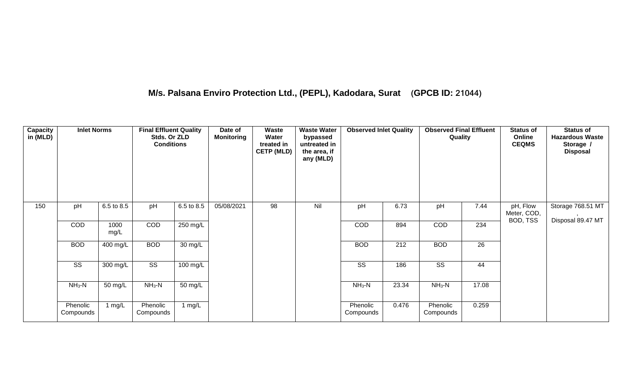## **M/s. Palsana Enviro Protection Ltd., (PEPL), Kadodara, Surat (GPCB ID: 21044)**

| <b>Capacity</b><br>in (MLD) | <b>Inlet Norms</b>     |              | <b>Final Effluent Quality</b><br>Stds. Or ZLD<br><b>Conditions</b> |                    | Date of<br><b>Monitoring</b> | Waste<br>Water<br>treated in<br><b>CETP (MLD)</b> | <b>Waste Water</b><br>bypassed<br>untreated in<br>the area, if<br>any (MLD) | <b>Observed Inlet Quality</b> |       | <b>Observed Final Effluent</b><br>Quality |       | <b>Status of</b><br>Online<br><b>CEQMS</b> | <b>Status of</b><br><b>Hazardous Waste</b><br>Storage /<br><b>Disposal</b> |
|-----------------------------|------------------------|--------------|--------------------------------------------------------------------|--------------------|------------------------------|---------------------------------------------------|-----------------------------------------------------------------------------|-------------------------------|-------|-------------------------------------------|-------|--------------------------------------------|----------------------------------------------------------------------------|
| 150                         | pH                     | 6.5 to 8.5   | pH                                                                 | 6.5 to 8.5         | 05/08/2021                   | 98                                                | Nil                                                                         | pH                            | 6.73  | pH                                        | 7.44  | pH, Flow<br>Meter, COD,                    | Storage 768.51 MT                                                          |
|                             | COD                    | 1000<br>mg/L | COD                                                                | 250 mg/L           |                              |                                                   |                                                                             | COD                           | 894   | COD                                       | 234   | BOD, TSS                                   | Disposal 89.47 MT                                                          |
|                             | <b>BOD</b>             | 400 mg/L     | <b>BOD</b>                                                         | 30 mg/L            |                              |                                                   |                                                                             | <b>BOD</b>                    | 212   | <b>BOD</b>                                | 26    |                                            |                                                                            |
|                             | $\overline{\text{SS}}$ | 300 mg/L     | $\overline{\text{ss}}$                                             | $100 \text{ mg/L}$ |                              |                                                   |                                                                             | $\overline{\text{ss}}$        | 186   | $\overline{\text{ss}}$                    | 44    |                                            |                                                                            |
|                             | $NH3-N$                | 50 mg/L      | $NH3-N$                                                            | $50 \text{ mg/L}$  |                              |                                                   |                                                                             | $NH3-N$                       | 23.34 | $NH3-N$                                   | 17.08 |                                            |                                                                            |
|                             | Phenolic<br>Compounds  | 1 mg/L       | Phenolic<br>Compounds                                              | 1 mg/L             |                              |                                                   |                                                                             | Phenolic<br>Compounds         | 0.476 | Phenolic<br>Compounds                     | 0.259 |                                            |                                                                            |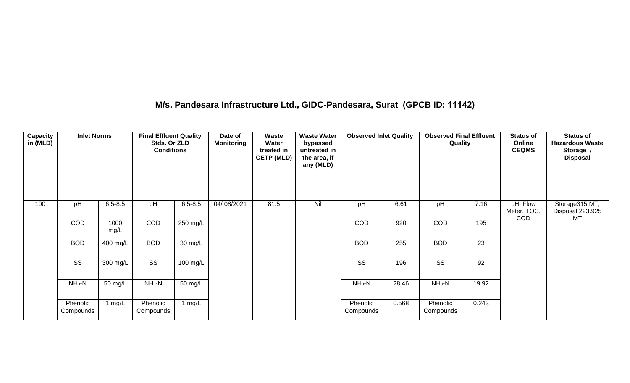#### **M/s. Pandesara Infrastructure Ltd., GIDC-Pandesara, Surat (GPCB ID: 11142)**

| <b>Capacity</b><br>in (MLD) | <b>Inlet Norms</b>    |              | <b>Final Effluent Quality</b><br>Stds. Or ZLD<br><b>Conditions</b> |             | Date of<br><b>Monitoring</b> | <b>Waste</b><br>Water<br>treated in<br><b>CETP (MLD)</b> | <b>Waste Water</b><br>bypassed<br>untreated in<br>the area, if<br>any (MLD) | <b>Observed Inlet Quality</b> |       | <b>Observed Final Effluent</b><br>Quality |       | <b>Status of</b><br>Online<br><b>CEQMS</b> | <b>Status of</b><br><b>Hazardous Waste</b><br>Storage /<br><b>Disposal</b> |
|-----------------------------|-----------------------|--------------|--------------------------------------------------------------------|-------------|------------------------------|----------------------------------------------------------|-----------------------------------------------------------------------------|-------------------------------|-------|-------------------------------------------|-------|--------------------------------------------|----------------------------------------------------------------------------|
| 100                         | pH                    | $6.5 - 8.5$  | pH                                                                 | $6.5 - 8.5$ | 04/08/2021                   | 81.5                                                     | Nil                                                                         | pH                            | 6.61  | pH                                        | 7.16  | pH, Flow<br>Meter, TOC,<br><b>COD</b>      | Storage315 MT,<br>Disposal 223.925<br>MT                                   |
|                             | <b>COD</b>            | 1000<br>mg/L | COD                                                                | 250 mg/L    |                              |                                                          |                                                                             | <b>COD</b>                    | 920   | COD                                       | 195   |                                            |                                                                            |
|                             | <b>BOD</b>            | 400 mg/L     | <b>BOD</b>                                                         | 30 mg/L     |                              |                                                          |                                                                             | <b>BOD</b>                    | 255   | <b>BOD</b>                                | 23    |                                            |                                                                            |
|                             | SS                    | 300 mg/L     | $\overline{\text{SS}}$                                             | $100$ mg/L  |                              |                                                          |                                                                             | SS                            | 196   | SS                                        | 92    |                                            |                                                                            |
|                             | $NH3-N$               | 50 mg/L      | $NH_3-N$                                                           | 50 mg/L     |                              |                                                          |                                                                             | $NH3-N$                       | 28.46 | $NH_3-N$                                  | 19.92 |                                            |                                                                            |
|                             | Phenolic<br>Compounds | 1 mg/L       | Phenolic<br>Compounds                                              | 1 mg/L      |                              |                                                          |                                                                             | Phenolic<br>Compounds         | 0.568 | Phenolic<br>Compounds                     | 0.243 |                                            |                                                                            |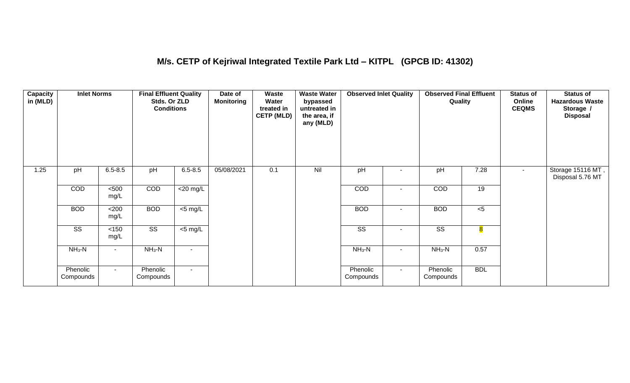#### **M/s. CETP of Kejriwal Integrated Textile Park Ltd – KITPL (GPCB ID: 41302)**

| <b>Capacity</b><br>in (MLD) | <b>Inlet Norms</b>     |                | <b>Final Effluent Quality</b><br>Stds. Or ZLD<br><b>Conditions</b> |                | Date of<br><b>Monitoring</b> | Waste<br>Water<br>treated in<br><b>CETP (MLD)</b> | <b>Waste Water</b><br>bypassed<br>untreated in<br>the area, if<br>any (MLD) | <b>Observed Inlet Quality</b> |                | <b>Observed Final Effluent</b><br>Quality |                         | <b>Status of</b><br>Online<br><b>CEQMS</b> | <b>Status of</b><br><b>Hazardous Waste</b><br>Storage /<br><b>Disposal</b> |
|-----------------------------|------------------------|----------------|--------------------------------------------------------------------|----------------|------------------------------|---------------------------------------------------|-----------------------------------------------------------------------------|-------------------------------|----------------|-------------------------------------------|-------------------------|--------------------------------------------|----------------------------------------------------------------------------|
| 1.25                        | pH                     | $6.5 - 8.5$    | pH                                                                 | $6.5 - 8.5$    | 05/08/2021                   | 0.1                                               | Nil                                                                         | pH                            |                | pH                                        | 7.28                    |                                            | Storage 15116 MT,<br>Disposal 5.76 MT                                      |
|                             | <b>COD</b>             | $500$<br>mg/L  | COD                                                                | $<$ 20 mg/L    |                              |                                                   |                                                                             | <b>COD</b>                    | $\blacksquare$ | <b>COD</b>                                | 19                      |                                            |                                                                            |
|                             | <b>BOD</b>             | <200<br>mg/L   | <b>BOD</b>                                                         | $<$ 5 mg/L     |                              |                                                   |                                                                             | <b>BOD</b>                    | $\blacksquare$ | <b>BOD</b>                                | $<$ 5                   |                                            |                                                                            |
|                             | $\overline{\text{ss}}$ | $<150$<br>mg/L | $\overline{\text{SS}}$                                             | $<$ 5 mg/L     |                              |                                                   |                                                                             | $\overline{\text{ss}}$        | $\sim$         | $\overline{\text{ss}}$                    | $\overline{\textbf{8}}$ |                                            |                                                                            |
|                             | $NH_3-N$               |                | $NH_3-N$                                                           | $\blacksquare$ |                              |                                                   |                                                                             | $NH3-N$                       | $\blacksquare$ | $NH3-N$                                   | 0.57                    |                                            |                                                                            |
|                             | Phenolic<br>Compounds  | $\sim$         | Phenolic<br>Compounds                                              | $\sim$         |                              |                                                   |                                                                             | Phenolic<br>Compounds         | $\sim$         | Phenolic<br>Compounds                     | <b>BDL</b>              |                                            |                                                                            |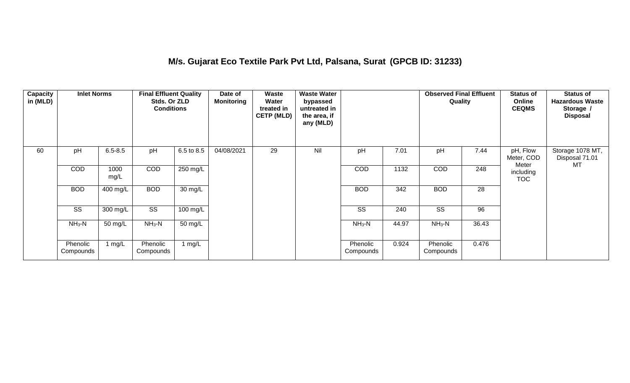#### **M/s. Gujarat Eco Textile Park Pvt Ltd, Palsana, Surat (GPCB ID: 31233)**

| <b>Capacity</b><br>in (MLD) | <b>Inlet Norms</b>    |              | <b>Final Effluent Quality</b><br>Stds. Or ZLD<br><b>Conditions</b> |            | Date of<br><b>Monitoring</b> | <b>Waste</b><br>Water<br>treated in<br><b>CETP (MLD)</b> | <b>Waste Water</b><br>bypassed<br>untreated in<br>the area, if<br>any (MLD) |                       |       | <b>Observed Final Effluent</b><br><b>Quality</b> |       | <b>Status of</b><br>Online<br><b>CEQMS</b> | <b>Status of</b><br><b>Hazardous Waste</b><br>Storage /<br><b>Disposal</b> |
|-----------------------------|-----------------------|--------------|--------------------------------------------------------------------|------------|------------------------------|----------------------------------------------------------|-----------------------------------------------------------------------------|-----------------------|-------|--------------------------------------------------|-------|--------------------------------------------|----------------------------------------------------------------------------|
| 60                          | pH                    | $6.5 - 8.5$  | pH                                                                 | 6.5 to 8.5 | 04/08/2021                   | 29                                                       | Nil                                                                         | pH                    | 7.01  | pH                                               | 7.44  | pH, Flow<br>Meter, COD                     | Storage 1078 MT,<br>Disposal 71.01                                         |
|                             | COD                   | 1000<br>mg/L | COD                                                                | 250 mg/L   |                              |                                                          |                                                                             | <b>COD</b>            | 1132  | COD                                              | 248   | Meter<br>including<br><b>TOC</b>           | МT                                                                         |
|                             | <b>BOD</b>            | 400 mg/L     | <b>BOD</b>                                                         | 30 mg/L    |                              |                                                          |                                                                             | <b>BOD</b>            | 342   | <b>BOD</b>                                       | 28    |                                            |                                                                            |
|                             | SS                    | 300 mg/L     | SS                                                                 | 100 mg/L   |                              |                                                          |                                                                             | SS                    | 240   | SS                                               | 96    |                                            |                                                                            |
|                             | $NH3-N$               | 50 mg/L      | $NH3-N$                                                            | 50 mg/L    |                              |                                                          |                                                                             | $NH3-N$               | 44.97 | $NH3-N$                                          | 36.43 |                                            |                                                                            |
|                             | Phenolic<br>Compounds | 1 mg/L       | Phenolic<br>Compounds                                              | 1 $mg/L$   |                              |                                                          |                                                                             | Phenolic<br>Compounds | 0.924 | Phenolic<br>Compounds                            | 0.476 |                                            |                                                                            |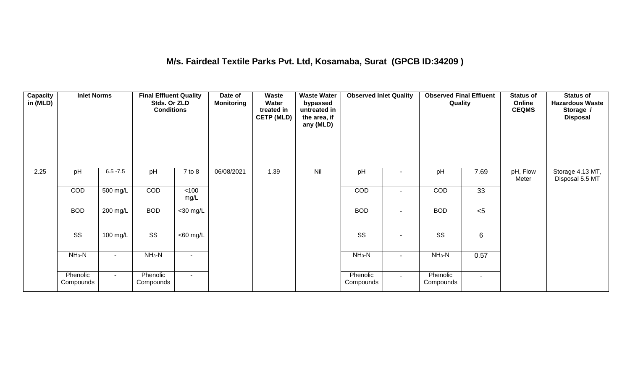#### **M/s. Fairdeal Textile Parks Pvt. Ltd, Kosamaba, Surat (GPCB ID:34209 )**

| <b>Capacity</b><br>in (MLD) | <b>Inlet Norms</b>    |             | <b>Final Effluent Quality</b><br>Stds. Or ZLD<br><b>Conditions</b> |                       | Date of<br><b>Monitoring</b> | Waste<br>Water<br>treated in<br><b>CETP (MLD)</b> | <b>Waste Water</b><br>bypassed<br>untreated in<br>the area, if<br>any (MLD) | <b>Observed Inlet Quality</b> |                | <b>Observed Final Effluent</b><br>Quality |                | <b>Status of</b><br>Online<br><b>CEQMS</b> | <b>Status of</b><br><b>Hazardous Waste</b><br>Storage /<br><b>Disposal</b> |
|-----------------------------|-----------------------|-------------|--------------------------------------------------------------------|-----------------------|------------------------------|---------------------------------------------------|-----------------------------------------------------------------------------|-------------------------------|----------------|-------------------------------------------|----------------|--------------------------------------------|----------------------------------------------------------------------------|
| 2.25                        | pH                    | $6.5 - 7.5$ | pH                                                                 | $7$ to $8$            | 06/08/2021                   | 1.39                                              | Nil                                                                         | pH                            |                | pH                                        | 7.69           | pH, Flow<br>Meter                          | Storage 4.13 MT,<br>Disposal 5.5 MT                                        |
|                             | COD                   | 500 mg/L    | COD                                                                | $<$ 100<br>mg/L       |                              |                                                   |                                                                             | COD                           |                | COD                                       | 33             |                                            |                                                                            |
|                             | <b>BOD</b>            | $200$ mg/L  | <b>BOD</b>                                                         | $<$ 30 mg/L           |                              |                                                   |                                                                             | <b>BOD</b>                    | $\blacksquare$ | <b>BOD</b>                                | < 5            |                                            |                                                                            |
|                             | SS                    | 100 mg/L    | SS                                                                 | $\overline{<}60$ mg/L |                              |                                                   |                                                                             | SS                            | $\blacksquare$ | SS                                        | 6              |                                            |                                                                            |
|                             | $NH_3-N$              | $\sim$      | $NH3-N$                                                            | $\blacksquare$        |                              |                                                   |                                                                             | $NH3-N$                       | $\blacksquare$ | $NH3-N$                                   | 0.57           |                                            |                                                                            |
|                             | Phenolic<br>Compounds | $\sim$      | Phenolic<br>Compounds                                              | $\sim$                |                              |                                                   |                                                                             | Phenolic<br>Compounds         | $\sim$         | Phenolic<br>Compounds                     | $\blacksquare$ |                                            |                                                                            |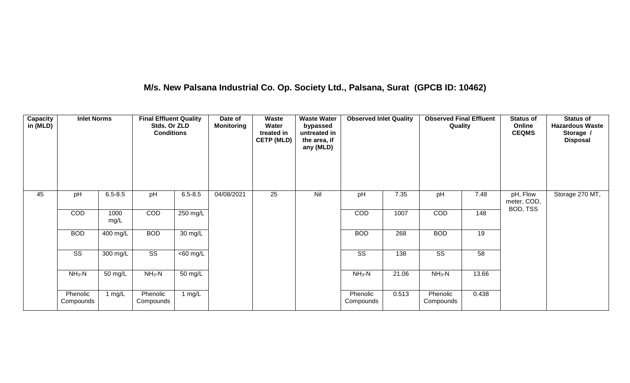## **M/s. New Palsana Industrial Co. Op. Society Ltd., Palsana, Surat (GPCB ID: 10462)**

| Capacity<br>in (MLD) | <b>Inlet Norms</b>     |              | <b>Final Effluent Quality</b><br>Stds. Or ZLD<br><b>Conditions</b> |                      | Date of<br><b>Monitoring</b> | Waste<br>Water<br>treated in<br><b>CETP (MLD)</b> | <b>Waste Water</b><br>bypassed<br>untreated in<br>the area, if<br>any (MLD) | <b>Observed Inlet Quality</b> |       | <b>Observed Final Effluent</b><br>Quality |       | <b>Status of</b><br>Online<br><b>CEQMS</b> | <b>Status of</b><br><b>Hazardous Waste</b><br>Storage /<br><b>Disposal</b> |
|----------------------|------------------------|--------------|--------------------------------------------------------------------|----------------------|------------------------------|---------------------------------------------------|-----------------------------------------------------------------------------|-------------------------------|-------|-------------------------------------------|-------|--------------------------------------------|----------------------------------------------------------------------------|
| 45                   | pH                     | $6.5 - 8.5$  | pH                                                                 | $6.5 - 8.5$          | 04/08/2021                   | 25                                                | Nil                                                                         | pH                            | 7.35  | pH                                        | 7.48  | pH, Flow<br>meter, COD,<br>BOD, TSS        | Storage 270 MT,                                                            |
|                      | COD                    | 1000<br>mg/L | COD                                                                | 250 mg/L             |                              |                                                   |                                                                             | COD                           | 1007  | COD                                       | 148   |                                            |                                                                            |
|                      | <b>BOD</b>             | 400 mg/L     | <b>BOD</b>                                                         | 30 mg/L              |                              |                                                   |                                                                             | <b>BOD</b>                    | 268   | <b>BOD</b>                                | 19    |                                            |                                                                            |
|                      | $\overline{\text{ss}}$ | $300$ mg/L   | $\overline{\text{ss}}$                                             | $\overline{60}$ mg/L |                              |                                                   |                                                                             | $\overline{\text{ss}}$        | 138   | $\overline{\text{ss}}$                    | 58    |                                            |                                                                            |
|                      | $NH3-N$                | 50 mg/L      | $NH_3-N$                                                           | 50 mg/L              |                              |                                                   |                                                                             | $NH3-N$                       | 21.06 | $NH3-N$                                   | 13.66 |                                            |                                                                            |
|                      | Phenolic<br>Compounds  | 1 $mg/L$     | Phenolic<br>Compounds                                              | 1 $mg/L$             |                              |                                                   |                                                                             | Phenolic<br>Compounds         | 0.513 | Phenolic<br>Compounds                     | 0.438 |                                            |                                                                            |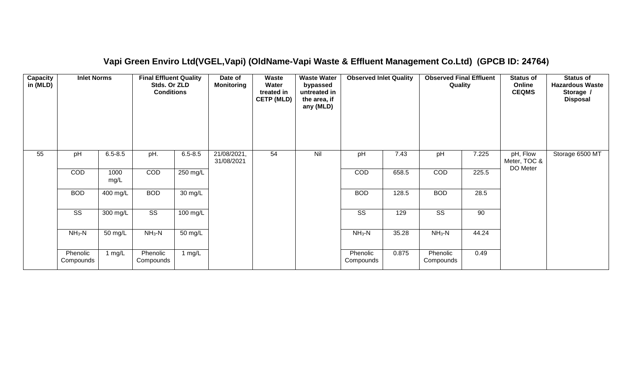#### **Capacity in (MLD) Inlet Norms Final Effluent Quality Stds. Or ZLD Conditions Date of Monitoring Waste Water treated in CETP (MLD) Waste Water bypassed untreated in the area, if any (MLD) Observed Inlet Quality | Observed Final Effluent Quality Status of Online CEQMS Status of Hazardous Waste Storage / Disposal** 55 pH 6.5-8.5 pH. 6.5-8.5 21/08/2021, 31/08/2021 54 Nil pH 7.43 pH 7.225 pH, Flow Meter, TOC & DO Meter Storage 6500 MT COD 1000 mg/L COD 250 mg/L COD 658.5 COD 225.5 BOD | 400 mg/L | BOD | 30 mg/L | | BOD | 128.5 | BOD | 28.5 SS 300 mg/L SS 100 mg/L SS 129 SS 90 NH3-N | 50 mg/L | NH3-N | 50 mg/L | | | | NH3-N | 35.28 | NH3-N | 44.24 **Phenolic Compounds** 1 mg/L Phenolic Compounds 1 mg/L and 1 mg/L and 1 mg/L and 1 mg/L and 1 mg/L and 1 mg/L and 1 mg/L and 1 mg/L and 1 mg/L and 1 mg/L and 1 mg/L and 1 mg/L and 1 mg/L and 1 mg/L and 1 mg/L and 1 mg/L and 1 mg/L and 1 mg/L and 1 mg/L and 1 mg/L and 1 Compounds 0.875 Phenolic **Compounds** 0.49

#### **Vapi Green Enviro Ltd(VGEL,Vapi) (OldName-Vapi Waste & Effluent Management Co.Ltd) (GPCB ID: 24764)**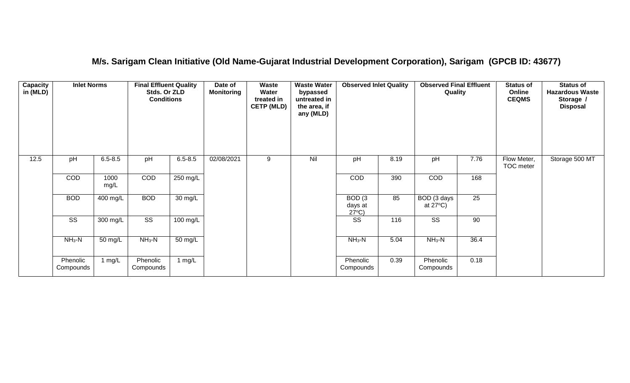#### **M/s. Sarigam Clean Initiative (Old Name-Gujarat Industrial Development Corporation), Sarigam (GPCB ID: 43677)**

| Capacity<br>in (MLD) | <b>Inlet Norms</b>     |              | <b>Final Effluent Quality</b><br>Stds. Or ZLD<br><b>Conditions</b> |                      | Date of<br><b>Monitoring</b> | Waste<br>Water<br>treated in<br><b>CETP (MLD)</b> | <b>Waste Water</b><br>bypassed<br>untreated in<br>the area, if<br>any (MLD) | <b>Observed Inlet Quality</b>        |      | <b>Observed Final Effluent</b><br>Quality |      | <b>Status of</b><br>Online<br><b>CEQMS</b> | <b>Status of</b><br><b>Hazardous Waste</b><br>Storage /<br><b>Disposal</b> |
|----------------------|------------------------|--------------|--------------------------------------------------------------------|----------------------|------------------------------|---------------------------------------------------|-----------------------------------------------------------------------------|--------------------------------------|------|-------------------------------------------|------|--------------------------------------------|----------------------------------------------------------------------------|
| 12.5                 | pH                     | $6.5 - 8.5$  | pH                                                                 | $6.5 - 8.5$          | 02/08/2021                   | 9                                                 | Nil                                                                         | pH                                   | 8.19 | pH                                        | 7.76 | Flow Meter,<br>TOC meter                   | Storage 500 MT                                                             |
|                      | COD                    | 1000<br>mg/L | COD                                                                | $250$ mg/L           |                              |                                                   |                                                                             | COD                                  | 390  | COD                                       | 168  |                                            |                                                                            |
|                      | <b>BOD</b>             | $400$ mg/L   | <b>BOD</b>                                                         | $\overline{30}$ mg/L |                              |                                                   |                                                                             | BOD(3)<br>days at<br>$27^{\circ}C$ ) | 85   | BOD (3 days<br>at $27^{\circ}$ C)         | 25   |                                            |                                                                            |
|                      | $\overline{\text{ss}}$ | 300 mg/L     | $\overline{\text{ss}}$                                             | 100 mg/L             |                              |                                                   |                                                                             | $\overline{\text{ss}}$               | 116  | $\overline{\text{ss}}$                    | 90   |                                            |                                                                            |
|                      | $NH3-N$                | 50 mg/L      | $NH3-N$                                                            | $\overline{50}$ mg/L |                              |                                                   |                                                                             | $NH3-N$                              | 5.04 | $NH3-N$                                   | 36.4 |                                            |                                                                            |
|                      | Phenolic<br>Compounds  | 1 $mg/L$     | Phenolic<br>Compounds                                              | 1 mg/L               |                              |                                                   |                                                                             | Phenolic<br>Compounds                | 0.39 | Phenolic<br>Compounds                     | 0.18 |                                            |                                                                            |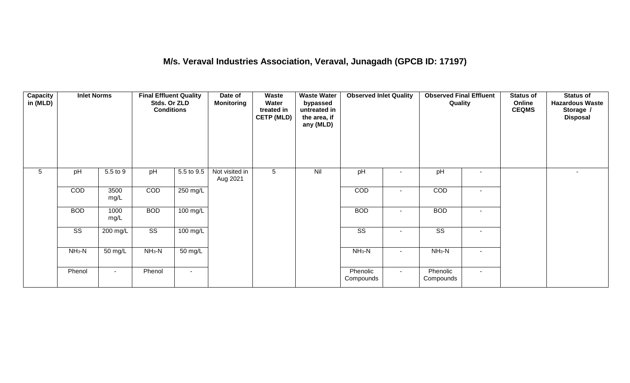## **M/s. Veraval Industries Association, Veraval, Junagadh (GPCB ID: 17197)**

| <b>Capacity</b><br>in (MLD) | <b>Inlet Norms</b>     | pH<br>5.5 to 9 |                        | <b>Final Effluent Quality</b><br>Stds. Or ZLD<br><b>Conditions</b> | Date of<br><b>Monitoring</b> | Waste<br>Water<br>treated in<br><b>CETP (MLD)</b> | <b>Waste Water</b><br>bypassed<br>untreated in<br>the area, if<br>any (MLD) | <b>Observed Inlet Quality</b> |                          | <b>Observed Final Effluent</b><br>Quality |                          | <b>Status of</b><br>Online<br><b>CEQMS</b> | <b>Status of</b><br><b>Hazardous Waste</b><br>Storage /<br><b>Disposal</b> |
|-----------------------------|------------------------|----------------|------------------------|--------------------------------------------------------------------|------------------------------|---------------------------------------------------|-----------------------------------------------------------------------------|-------------------------------|--------------------------|-------------------------------------------|--------------------------|--------------------------------------------|----------------------------------------------------------------------------|
| $5\phantom{.0}$             | pH                     |                |                        | 5.5 to 9.5                                                         | Not visited in<br>Aug 2021   | 5                                                 | Nil                                                                         | pH                            | $\blacksquare$           | pH                                        | $\overline{\phantom{a}}$ |                                            | $\overline{\phantom{a}}$                                                   |
|                             | COD                    | 3500<br>mg/L   | COD                    | 250 mg/L                                                           |                              |                                                   |                                                                             | COD                           | $\overline{\phantom{a}}$ | COD                                       | $\sim$                   |                                            |                                                                            |
|                             | <b>BOD</b>             | 1000<br>mg/L   | <b>BOD</b>             | $100 \text{ mg/L}$                                                 |                              |                                                   |                                                                             | <b>BOD</b>                    | $\sim$                   | <b>BOD</b>                                | $\blacksquare$           |                                            |                                                                            |
|                             | $\overline{\text{ss}}$ | 200 mg/L       | $\overline{\text{ss}}$ | $100 \text{ mg/L}$                                                 |                              |                                                   |                                                                             | $\overline{\text{ss}}$        | $\blacksquare$           | $\overline{\text{SS}}$                    | $\sim$                   |                                            |                                                                            |
|                             | $NH3-N$                | 50 mg/L        | $NH3-N$                | 50 mg/L                                                            |                              |                                                   |                                                                             | $NH3-N$                       | $\overline{\phantom{a}}$ | $NH3-N$                                   | $\sim$                   |                                            |                                                                            |
|                             | Phenol                 | $\sim$         | Phenol                 | $\blacksquare$                                                     |                              |                                                   |                                                                             | Phenolic<br>Compounds         | $\sim$                   | Phenolic<br>Compounds                     | $\sim$                   |                                            |                                                                            |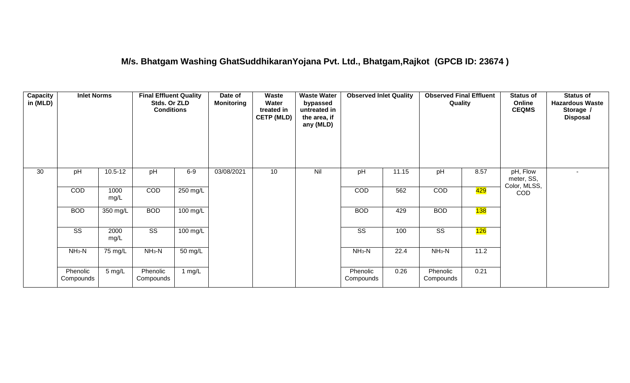#### **M/s. Bhatgam Washing GhatSuddhikaranYojana Pvt. Ltd., Bhatgam,Rajkot (GPCB ID: 23674 )**

| Capacity<br>in (MLD) | <b>Inlet Norms</b>     |                  | <b>Final Effluent Quality</b><br>Stds. Or ZLD<br><b>Conditions</b> |                    | Date of<br><b>Monitoring</b> | <b>Waste</b><br>Water<br>treated in<br><b>CETP (MLD)</b> | <b>Waste Water</b><br>bypassed<br>untreated in<br>the area, if<br>any (MLD) | <b>Observed Inlet Quality</b> |       | <b>Observed Final Effluent</b> | Online<br>Quality<br><b>CEQMS</b><br>pH<br>8.57 |                                        | <b>Status of</b><br><b>Hazardous Waste</b><br>Storage /<br><b>Disposal</b> |
|----------------------|------------------------|------------------|--------------------------------------------------------------------|--------------------|------------------------------|----------------------------------------------------------|-----------------------------------------------------------------------------|-------------------------------|-------|--------------------------------|-------------------------------------------------|----------------------------------------|----------------------------------------------------------------------------|
| 30                   | pH                     | $10.5 - 12$      | pH                                                                 | $6-9$              | 03/08/2021                   | 10 <sup>°</sup>                                          | Nil                                                                         | pH                            | 11.15 |                                |                                                 | pH, Flow<br>meter, SS,<br>Color, MLSS, | $\overline{\phantom{a}}$                                                   |
|                      | COD                    | 1000<br>mg/L     | COD                                                                | 250 mg/L           |                              |                                                          |                                                                             | COD                           | 562   | COD                            | 429                                             | <b>COD</b>                             |                                                                            |
|                      | <b>BOD</b>             | 350 mg/L         | <b>BOD</b>                                                         | $100$ mg/L         |                              |                                                          |                                                                             | <b>BOD</b>                    | 429   | <b>BOD</b>                     | 138                                             |                                        |                                                                            |
|                      | $\overline{\text{ss}}$ | 2000<br>mg/L     | $\overline{\text{SS}}$                                             | $100 \text{ mg/L}$ |                              |                                                          |                                                                             | $\overline{\text{ss}}$        | 100   | $\overline{\text{SS}}$         | 126                                             |                                        |                                                                            |
|                      | $NH3-N$                | 75 mg/L          | $NH3-N$                                                            | 50 mg/L            |                              |                                                          |                                                                             | $NH3-N$                       | 22.4  | $NH3-N$                        | 11.2                                            |                                        |                                                                            |
|                      | Phenolic<br>Compounds  | $5 \text{ mg/L}$ | Phenolic<br>Compounds                                              | 1 mg/L             |                              |                                                          |                                                                             | Phenolic<br>Compounds         | 0.26  | Phenolic<br>Compounds          | 0.21                                            |                                        |                                                                            |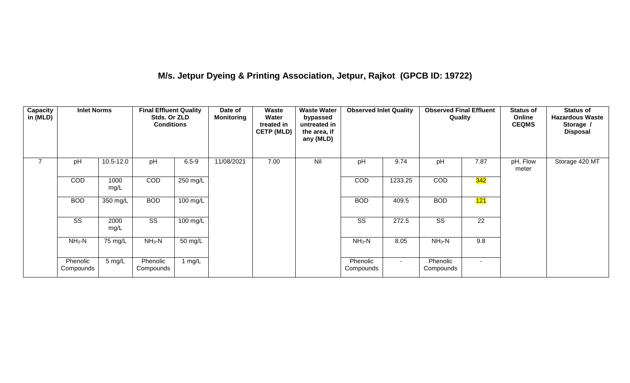## **M/s. Jetpur Dyeing & Printing Association, Jetpur, Rajkot (GPCB ID: 19722)**

| Capacity<br>in (MLD) | <b>Inlet Norms</b>     |              | <b>Final Effluent Quality</b><br>Stds. Or ZLD<br><b>Conditions</b> |                   | Date of<br><b>Monitoring</b> | Waste<br>Water<br>treated in<br><b>CETP (MLD)</b> | <b>Waste Water</b><br>bypassed<br>untreated in<br>the area, if<br>any (MLD) | <b>Observed Inlet Quality</b> |         | <b>Observed Final Effluent</b><br>Quality |                 | <b>Status of</b><br>Online<br><b>CEQMS</b> | <b>Status of</b><br><b>Hazardous Waste</b><br>Storage /<br><b>Disposal</b> |
|----------------------|------------------------|--------------|--------------------------------------------------------------------|-------------------|------------------------------|---------------------------------------------------|-----------------------------------------------------------------------------|-------------------------------|---------|-------------------------------------------|-----------------|--------------------------------------------|----------------------------------------------------------------------------|
| $\overline{7}$       | pH                     | 10.5-12.0    | pH                                                                 | $6.5 - 9$         | 11/08/2021                   | 7.00                                              | Nil                                                                         | pH                            | 9.74    | pH                                        | 7.87            | pH, Flow<br>meter                          | Storage 420 MT                                                             |
|                      | <b>COD</b>             | 1000<br>mg/L | <b>COD</b>                                                         | 250 mg/L          |                              |                                                   |                                                                             | <b>COD</b>                    | 1233.25 | <b>COD</b>                                | <b>342</b>      |                                            |                                                                            |
|                      | <b>BOD</b>             | 350 mg/L     | <b>BOD</b>                                                         | 100 mg/L          |                              |                                                   |                                                                             | <b>BOD</b>                    | 409.5   | <b>BOD</b>                                | 121             |                                            |                                                                            |
|                      | $\overline{\text{ss}}$ | 2000<br>mg/L | $\overline{\text{ss}}$                                             | 100 mg/L          |                              |                                                   |                                                                             | SS                            | 272.5   | $\overline{\text{SS}}$                    | $\overline{22}$ |                                            |                                                                            |
|                      | $NH3-N$                | 75 mg/L      | $NH3-N$                                                            | $50 \text{ mg/L}$ |                              |                                                   |                                                                             | $NH3-N$                       | 8.05    | $NH3-N$                                   | 9.8             |                                            |                                                                            |
|                      | Phenolic<br>Compounds  | 5 mg/L       | Phenolic<br>Compounds                                              | 1 mg/L            |                              |                                                   |                                                                             | Phenolic<br>Compounds         | $\sim$  | Phenolic<br>Compounds                     | $\sim$          |                                            |                                                                            |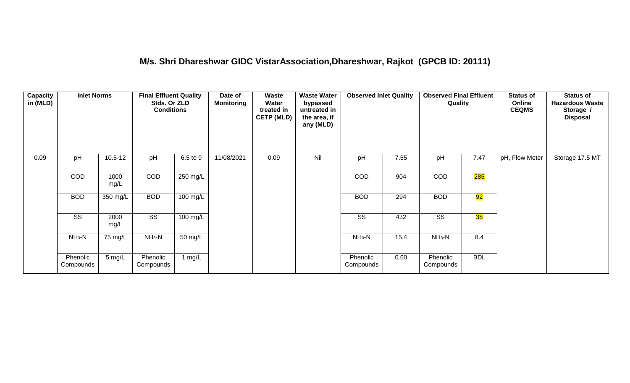#### **M/s. Shri Dhareshwar GIDC VistarAssociation,Dhareshwar, Rajkot (GPCB ID: 20111)**

| <b>Capacity</b><br>in (MLD) | <b>Inlet Norms</b>    |              | <b>Final Effluent Quality</b><br>Stds. Or ZLD<br><b>Conditions</b> |          | Date of<br><b>Monitoring</b> | Waste<br>Water<br>treated in<br><b>CETP (MLD)</b> | <b>Waste Water</b><br>bypassed<br>untreated in<br>the area, if<br>any (MLD) | <b>Observed Inlet Quality</b> |      | <b>Observed Final Effluent</b><br>Quality |            | <b>Status of</b><br>Online<br><b>CEQMS</b> | <b>Status of</b><br><b>Hazardous Waste</b><br>Storage /<br><b>Disposal</b> |
|-----------------------------|-----------------------|--------------|--------------------------------------------------------------------|----------|------------------------------|---------------------------------------------------|-----------------------------------------------------------------------------|-------------------------------|------|-------------------------------------------|------------|--------------------------------------------|----------------------------------------------------------------------------|
| 0.09                        | pH                    | $10.5 - 12$  | pH                                                                 | 6.5 to 9 | 11/08/2021                   | 0.09                                              | Nil                                                                         | pH                            | 7.55 | pH                                        | 7.47       | pH, Flow Meter                             | Storage 17.5 MT                                                            |
|                             | <b>COD</b>            | 1000<br>mg/L | COD                                                                | 250 mg/L |                              |                                                   |                                                                             | COD                           | 904  | COD                                       | 285        |                                            |                                                                            |
|                             | <b>BOD</b>            | 350 mg/L     | <b>BOD</b>                                                         | 100 mg/L |                              |                                                   |                                                                             | <b>BOD</b>                    | 294  | <b>BOD</b>                                | 92         |                                            |                                                                            |
|                             | SS                    | 2000<br>mg/L | SS                                                                 | 100 mg/L |                              |                                                   |                                                                             | SS                            | 432  | SS                                        | 38         |                                            |                                                                            |
|                             | $NH_3-N$              | 75 mg/L      | $NH_3-N$                                                           | 50 mg/L  |                              |                                                   |                                                                             | $NH3-N$                       | 15.4 | $NH3-N$                                   | 8.4        |                                            |                                                                            |
|                             | Phenolic<br>Compounds | 5 mg/L       | Phenolic<br>Compounds                                              | 1 $mg/L$ |                              |                                                   |                                                                             | Phenolic<br>Compounds         | 0.60 | Phenolic<br>Compounds                     | <b>BDL</b> |                                            |                                                                            |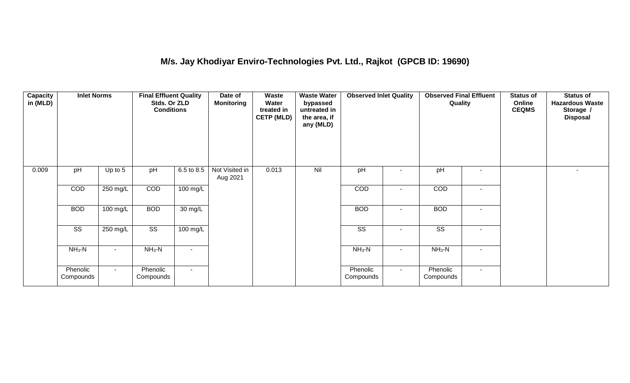## **M/s. Jay Khodiyar Enviro-Technologies Pvt. Ltd., Rajkot (GPCB ID: 19690)**

| Capacity<br>in (MLD) | <b>Inlet Norms</b>    |           | <b>Final Effluent Quality</b><br>Stds. Or ZLD<br><b>Conditions</b> |            | Date of<br>Monitoring      | Waste<br>Water<br>treated in<br><b>CETP (MLD)</b> | <b>Waste Water</b><br>bypassed<br>untreated in<br>the area, if<br>any (MLD) | <b>Observed Inlet Quality</b> |                          | <b>Observed Final Effluent</b><br>Quality |        | <b>Status of</b><br>Online<br><b>CEQMS</b> | <b>Status of</b><br><b>Hazardous Waste</b><br>Storage /<br><b>Disposal</b> |
|----------------------|-----------------------|-----------|--------------------------------------------------------------------|------------|----------------------------|---------------------------------------------------|-----------------------------------------------------------------------------|-------------------------------|--------------------------|-------------------------------------------|--------|--------------------------------------------|----------------------------------------------------------------------------|
| 0.009                | pH                    | Up to $5$ | pH                                                                 | 6.5 to 8.5 | Not Visited in<br>Aug 2021 | 0.013                                             | Nil                                                                         | pH                            | ۰                        | pH                                        | $\sim$ |                                            |                                                                            |
|                      | COD                   | 250 mg/L  | COD                                                                | 100 mg/L   |                            |                                                   |                                                                             | <b>COD</b>                    | $\overline{\phantom{a}}$ | <b>COD</b>                                | $\sim$ |                                            |                                                                            |
|                      | <b>BOD</b>            | 100 mg/L  | <b>BOD</b>                                                         | 30 mg/L    |                            |                                                   |                                                                             | <b>BOD</b>                    | ۰                        | <b>BOD</b>                                | $\sim$ |                                            |                                                                            |
|                      | SS                    | 250 mg/L  | SS                                                                 | 100 mg/L   |                            |                                                   |                                                                             | SS                            |                          | SS                                        |        |                                            |                                                                            |
|                      | $NH3-N$               | $NH3-N$   |                                                                    |            |                            |                                                   | $NH3-N$                                                                     | ۰                             | $NH3-N$                  |                                           |        |                                            |                                                                            |
|                      | Phenolic<br>Compounds | $\sim$    | Phenolic<br>Compounds                                              | $\sim$     |                            |                                                   |                                                                             | Phenolic<br>Compounds         | $\sim$                   | Phenolic<br>Compounds                     | $\sim$ |                                            |                                                                            |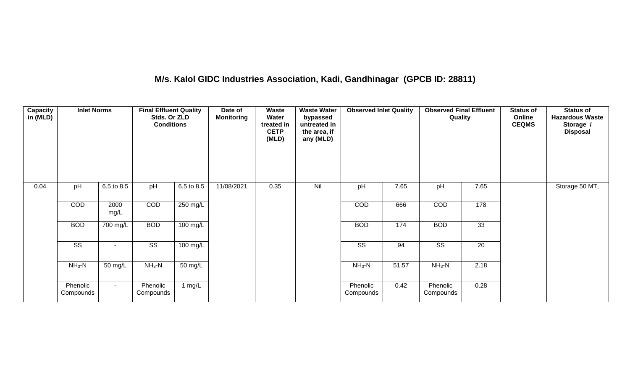## **M/s. Kalol GIDC Industries Association, Kadi, Gandhinagar (GPCB ID: 28811)**

| <b>Capacity</b><br>in (MLD) | <b>Inlet Norms</b>     |              | <b>Final Effluent Quality</b><br>Stds. Or ZLD<br><b>Conditions</b> |                    | Date of<br><b>Monitoring</b> | Waste<br>Water<br>treated in<br><b>CETP</b><br>(MLD) | <b>Waste Water</b><br>bypassed<br>untreated in<br>the area, if<br>any (MLD) | <b>Observed Inlet Quality</b> |       | <b>Observed Final Effluent</b><br>Quality |                 | <b>Status of</b><br>Online<br><b>CEQMS</b> | <b>Status of</b><br><b>Hazardous Waste</b><br>Storage /<br><b>Disposal</b> |
|-----------------------------|------------------------|--------------|--------------------------------------------------------------------|--------------------|------------------------------|------------------------------------------------------|-----------------------------------------------------------------------------|-------------------------------|-------|-------------------------------------------|-----------------|--------------------------------------------|----------------------------------------------------------------------------|
| 0.04                        | pH                     | 6.5 to 8.5   | pH                                                                 | 6.5 to 8.5         | 11/08/2021                   | 0.35                                                 | Nil                                                                         | pH                            | 7.65  | pH                                        | 7.65            |                                            | Storage 50 MT,                                                             |
|                             | COD                    | 2000<br>mg/L | COD                                                                | 250 mg/L           |                              |                                                      |                                                                             | COD                           | 666   | COD                                       | 178             |                                            |                                                                            |
|                             | <b>BOD</b>             | 700 mg/L     | <b>BOD</b>                                                         | $100 \text{ mg/L}$ |                              |                                                      |                                                                             | <b>BOD</b>                    | 174   | <b>BOD</b>                                | 33              |                                            |                                                                            |
|                             | $\overline{\text{ss}}$ | $\sim$       | $\overline{\text{ss}}$                                             | $100 \text{ mg/L}$ |                              |                                                      |                                                                             | $\overline{\text{ss}}$        | 94    | $\overline{\text{ss}}$                    | $\overline{20}$ |                                            |                                                                            |
|                             | $NH3-N$                | 50 mg/L      | $NH_3-N$                                                           | 50 mg/L            |                              |                                                      |                                                                             | $NH_3-N$                      | 51.57 | $NH3-N$                                   | 2.18            |                                            |                                                                            |
|                             | Phenolic<br>Compounds  | $\sim$       | Phenolic<br>Compounds                                              | 1 mg/L             |                              |                                                      |                                                                             | Phenolic<br>Compounds         | 0.42  | Phenolic<br>Compounds                     | 0.28            |                                            |                                                                            |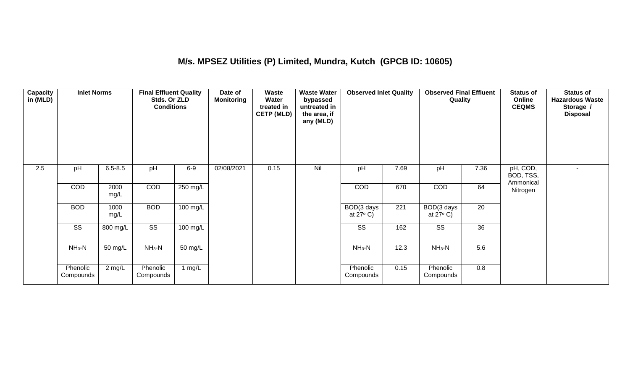## **M/s. MPSEZ Utilities (P) Limited, Mundra, Kutch (GPCB ID: 10605)**

| <b>Capacity</b><br>in (MLD) | <b>Inlet Norms</b>     |              | <b>Final Effluent Quality</b><br>Stds. Or ZLD<br><b>Conditions</b> |                    | Date of<br><b>Monitoring</b> | Waste<br>Water<br>treated in<br><b>CETP (MLD)</b> | <b>Waste Water</b><br>bypassed<br>untreated in<br>the area, if<br>any (MLD) | <b>Observed Inlet Quality</b>    |                  | <b>Observed Final Effluent</b><br>Quality |                 | <b>Status of</b><br>Online<br><b>CEQMS</b> | <b>Status of</b><br><b>Hazardous Waste</b><br>Storage /<br><b>Disposal</b> |
|-----------------------------|------------------------|--------------|--------------------------------------------------------------------|--------------------|------------------------------|---------------------------------------------------|-----------------------------------------------------------------------------|----------------------------------|------------------|-------------------------------------------|-----------------|--------------------------------------------|----------------------------------------------------------------------------|
| 2.5                         | pH                     | $6.5 - 8.5$  | pH                                                                 | $6-9$              | 02/08/2021                   | 0.15                                              | Nil                                                                         | pH                               | 7.69             | pH                                        | 7.36            | pH, COD,<br>BOD, TSS,<br>Ammonical         |                                                                            |
|                             | COD                    | 2000<br>mg/L | COD                                                                | 250 mg/L           |                              |                                                   |                                                                             | COD                              | 670              | COD                                       | 64              | Nitrogen                                   |                                                                            |
|                             | <b>BOD</b>             | 1000<br>mg/L | <b>BOD</b>                                                         | $100$ mg/L         |                              |                                                   |                                                                             | BOD(3 days<br>at $27^{\circ}$ C) | $\overline{221}$ | BOD(3 days<br>at $27^{\circ}$ C)          | $\overline{20}$ |                                            |                                                                            |
|                             | $\overline{\text{SS}}$ | 800 mg/L     | $\overline{\text{ss}}$                                             | $100 \text{ mg/L}$ |                              |                                                   |                                                                             | $\overline{\text{SS}}$           | 162              | $\overline{\text{SS}}$                    | 36              |                                            |                                                                            |
|                             | $NH3-N$                | 50 mg/L      | $NH_3-N$                                                           | 50 mg/L            |                              |                                                   |                                                                             | $NH3-N$                          | 12.3             | $NH3-N$                                   | 5.6             |                                            |                                                                            |
|                             | Phenolic<br>Compounds  | 2 mg/L       | Phenolic<br>Compounds                                              | 1 mg/L             |                              |                                                   |                                                                             | Phenolic<br>Compounds            | 0.15             | Phenolic<br>Compounds                     | 0.8             |                                            |                                                                            |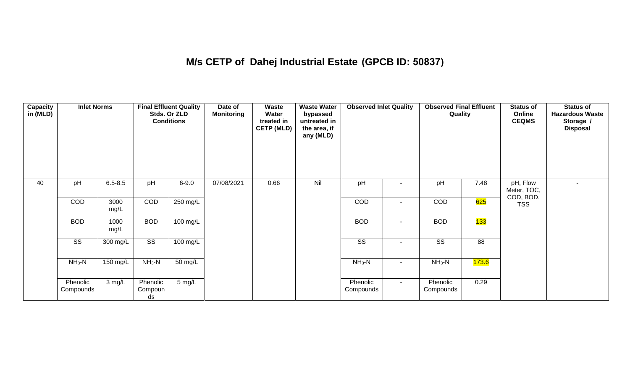## **M/s CETP of Dahej Industrial Estate (GPCB ID: 50837)**

| Capacity<br>in (MLD) | <b>Inlet Norms</b>     |              |                           | <b>Final Effluent Quality</b><br>Stds. Or ZLD<br><b>Conditions</b> | Date of<br><b>Monitoring</b> | Waste<br>Water<br>treated in<br><b>CETP (MLD)</b> | <b>Waste Water</b><br>bypassed<br>untreated in<br>the area, if<br>any (MLD) | <b>Observed Inlet Quality</b> |        | <b>Observed Final Effluent</b><br>Quality |                    | <b>Status of</b><br>Online<br><b>CEQMS</b> | Status of<br><b>Hazardous Waste</b><br>Storage /<br><b>Disposal</b> |
|----------------------|------------------------|--------------|---------------------------|--------------------------------------------------------------------|------------------------------|---------------------------------------------------|-----------------------------------------------------------------------------|-------------------------------|--------|-------------------------------------------|--------------------|--------------------------------------------|---------------------------------------------------------------------|
| 40                   | pH                     | $6.5 - 8.5$  | pH                        | $6 - 9.0$                                                          | 07/08/2021                   | 0.66                                              | Nil                                                                         | pH                            |        | pH                                        | 7.48               | pH, Flow<br>Meter, TOC,                    |                                                                     |
|                      | COD                    | 3000<br>mg/L | COD                       | $250$ mg/L                                                         |                              |                                                   |                                                                             | COD                           | ٠      | COD                                       | 625                | COD, BOD,<br><b>TSS</b>                    |                                                                     |
|                      | <b>BOD</b>             | 1000<br>mg/L | <b>BOD</b>                | 100 mg/L                                                           |                              |                                                   |                                                                             | <b>BOD</b>                    |        | <b>BOD</b>                                | 133                |                                            |                                                                     |
|                      | $\overline{\text{ss}}$ | 300 mg/L     | $\overline{\text{ss}}$    | $100 \text{ mg/L}$                                                 |                              |                                                   |                                                                             | $\overline{\text{SS}}$        |        | $\overline{\text{SS}}$                    | 88                 |                                            |                                                                     |
|                      | $NH_3-N$               | 150 mg/L     | $NH3-N$                   | 50 mg/L                                                            |                              |                                                   |                                                                             | $NH3-N$                       | $\sim$ | $NH3-N$                                   | <mark>173.6</mark> |                                            |                                                                     |
|                      | Phenolic<br>Compounds  | 3 mg/L       | Phenolic<br>Compoun<br>ds | 5 mg/L                                                             |                              |                                                   |                                                                             | Phenolic<br>Compounds         | $\sim$ | Phenolic<br>Compounds                     | 0.29               |                                            |                                                                     |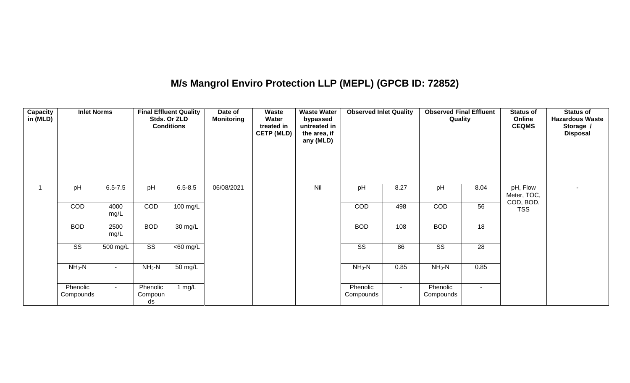## **M/s Mangrol Enviro Protection LLP (MEPL) (GPCB ID: 72852)**

| <b>Capacity</b><br>in (MLD) | <b>Inlet Norms</b>     |              |                           | <b>Final Effluent Quality</b><br>Stds. Or ZLD<br><b>Conditions</b> | Date of<br><b>Monitoring</b> | Waste<br>Water<br>treated in<br><b>CETP (MLD)</b> | <b>Waste Water</b><br>bypassed<br>untreated in<br>the area, if<br>any (MLD) | <b>Observed Inlet Quality</b> |        | <b>Observed Final Effluent</b><br>Quality |                 | <b>Status of</b><br>Online<br><b>CEQMS</b> | <b>Status of</b><br><b>Hazardous Waste</b><br>Storage /<br><b>Disposal</b> |
|-----------------------------|------------------------|--------------|---------------------------|--------------------------------------------------------------------|------------------------------|---------------------------------------------------|-----------------------------------------------------------------------------|-------------------------------|--------|-------------------------------------------|-----------------|--------------------------------------------|----------------------------------------------------------------------------|
|                             | pH                     | $6.5 - 7.5$  | pH                        | $6.5 - 8.5$                                                        | 06/08/2021                   |                                                   | Nil                                                                         | pH                            | 8.27   | pH                                        | 8.04            | pH, Flow<br>Meter, TOC,<br>COD, BOD,       | $\sim$                                                                     |
|                             | COD                    | 4000<br>mg/L | COD                       | $100$ mg/L                                                         |                              |                                                   |                                                                             | COD                           | 498    | COD                                       | 56              | <b>TSS</b>                                 |                                                                            |
|                             | <b>BOD</b>             | 2500<br>mg/L | <b>BOD</b>                | 30 mg/L                                                            |                              |                                                   |                                                                             | <b>BOD</b>                    | 108    | <b>BOD</b>                                | $\overline{18}$ |                                            |                                                                            |
|                             | $\overline{\text{SS}}$ | 500 mg/L     | $\overline{\text{ss}}$    | $\overline{<}60$ mg/L                                              |                              |                                                   |                                                                             | $\overline{\text{SS}}$        | 86     | $\overline{\text{SS}}$                    | 28              |                                            |                                                                            |
|                             | $NH3-N$                | $\sim$       | $NH_3-N$                  | 50 mg/L                                                            |                              |                                                   |                                                                             | $NH3-N$                       | 0.85   | $NH_3-N$                                  | 0.85            |                                            |                                                                            |
|                             | Phenolic<br>Compounds  | $\sim$       | Phenolic<br>Compoun<br>ds | 1 $mg/L$                                                           |                              |                                                   |                                                                             | Phenolic<br>Compounds         | $\sim$ | Phenolic<br>Compounds                     | $\sim$          |                                            |                                                                            |